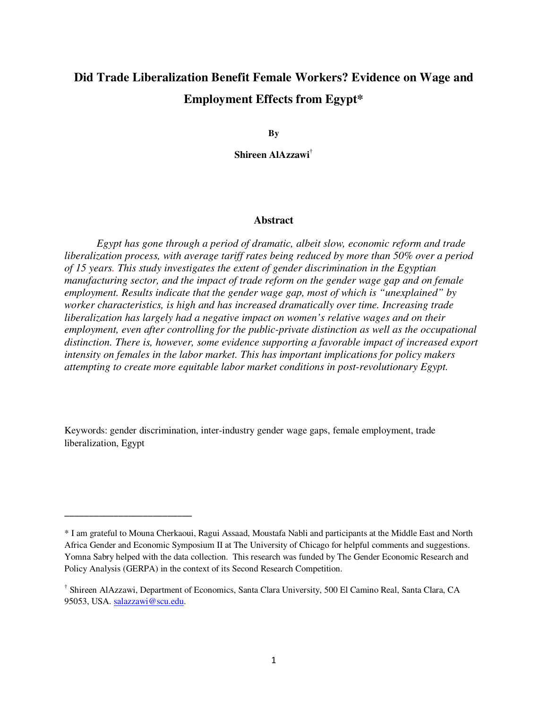# **Did Trade Liberalization Benefit Female Workers? Evidence on Wage and Employment Effects from Egypt\***

**By** 

**Shireen AlAzzawi**†

## **Abstract**

*Egypt has gone through a period of dramatic, albeit slow, economic reform and trade liberalization process, with average tariff rates being reduced by more than 50% over a period of 15 years. This study investigates the extent of gender discrimination in the Egyptian manufacturing sector, and the impact of trade reform on the gender wage gap and on female employment. Results indicate that the gender wage gap, most of which is "unexplained" by worker characteristics, is high and has increased dramatically over time. Increasing trade liberalization has largely had a negative impact on women's relative wages and on their employment, even after controlling for the public-private distinction as well as the occupational distinction. There is, however, some evidence supporting a favorable impact of increased export intensity on females in the labor market. This has important implications for policy makers attempting to create more equitable labor market conditions in post-revolutionary Egypt.* 

Keywords: gender discrimination, inter-industry gender wage gaps, female employment, trade liberalization, Egypt

\_\_\_\_\_\_\_\_\_\_\_\_\_\_\_\_\_\_\_\_\_\_\_\_\_\_

<sup>\*</sup> I am grateful to Mouna Cherkaoui, Ragui Assaad, Moustafa Nabli and participants at the Middle East and North Africa Gender and Economic Symposium II at The University of Chicago for helpful comments and suggestions. Yomna Sabry helped with the data collection. This research was funded by The Gender Economic Research and Policy Analysis (GERPA) in the context of its Second Research Competition.

<sup>†</sup> Shireen AlAzzawi, Department of Economics, Santa Clara University, 500 El Camino Real, Santa Clara, CA 95053, USA. salazzawi@scu.edu.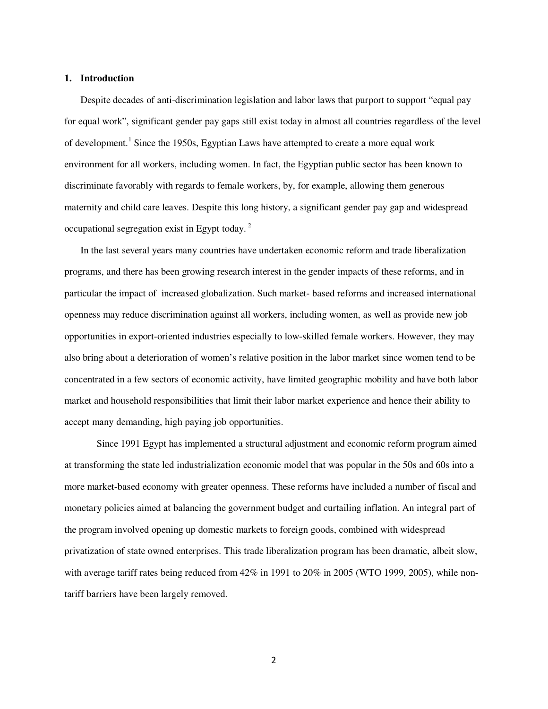# **1. Introduction**

Despite decades of anti-discrimination legislation and labor laws that purport to support "equal pay for equal work", significant gender pay gaps still exist today in almost all countries regardless of the level of development.<sup>1</sup> Since the 1950s, Egyptian Laws have attempted to create a more equal work environment for all workers, including women. In fact, the Egyptian public sector has been known to discriminate favorably with regards to female workers, by, for example, allowing them generous maternity and child care leaves. Despite this long history, a significant gender pay gap and widespread occupational segregation exist in Egypt today. $^2$ 

In the last several years many countries have undertaken economic reform and trade liberalization programs, and there has been growing research interest in the gender impacts of these reforms, and in particular the impact of increased globalization. Such market- based reforms and increased international openness may reduce discrimination against all workers, including women, as well as provide new job opportunities in export-oriented industries especially to low-skilled female workers. However, they may also bring about a deterioration of women's relative position in the labor market since women tend to be concentrated in a few sectors of economic activity, have limited geographic mobility and have both labor market and household responsibilities that limit their labor market experience and hence their ability to accept many demanding, high paying job opportunities.

Since 1991 Egypt has implemented a structural adjustment and economic reform program aimed at transforming the state led industrialization economic model that was popular in the 50s and 60s into a more market-based economy with greater openness. These reforms have included a number of fiscal and monetary policies aimed at balancing the government budget and curtailing inflation. An integral part of the program involved opening up domestic markets to foreign goods, combined with widespread privatization of state owned enterprises. This trade liberalization program has been dramatic, albeit slow, with average tariff rates being reduced from  $42\%$  in 1991 to 20% in 2005 (WTO 1999, 2005), while nontariff barriers have been largely removed.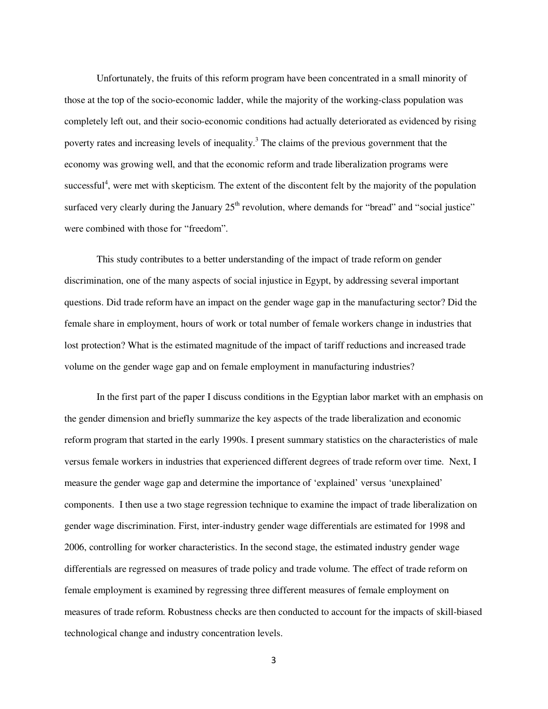Unfortunately, the fruits of this reform program have been concentrated in a small minority of those at the top of the socio-economic ladder, while the majority of the working-class population was completely left out, and their socio-economic conditions had actually deteriorated as evidenced by rising poverty rates and increasing levels of inequality.<sup>3</sup> The claims of the previous government that the economy was growing well, and that the economic reform and trade liberalization programs were successful<sup>4</sup>, were met with skepticism. The extent of the discontent felt by the majority of the population surfaced very clearly during the January  $25<sup>th</sup>$  revolution, where demands for "bread" and "social justice" were combined with those for "freedom".

This study contributes to a better understanding of the impact of trade reform on gender discrimination, one of the many aspects of social injustice in Egypt, by addressing several important questions. Did trade reform have an impact on the gender wage gap in the manufacturing sector? Did the female share in employment, hours of work or total number of female workers change in industries that lost protection? What is the estimated magnitude of the impact of tariff reductions and increased trade volume on the gender wage gap and on female employment in manufacturing industries?

In the first part of the paper I discuss conditions in the Egyptian labor market with an emphasis on the gender dimension and briefly summarize the key aspects of the trade liberalization and economic reform program that started in the early 1990s. I present summary statistics on the characteristics of male versus female workers in industries that experienced different degrees of trade reform over time. Next, I measure the gender wage gap and determine the importance of 'explained' versus 'unexplained' components. I then use a two stage regression technique to examine the impact of trade liberalization on gender wage discrimination. First, inter-industry gender wage differentials are estimated for 1998 and 2006, controlling for worker characteristics. In the second stage, the estimated industry gender wage differentials are regressed on measures of trade policy and trade volume. The effect of trade reform on female employment is examined by regressing three different measures of female employment on measures of trade reform. Robustness checks are then conducted to account for the impacts of skill-biased technological change and industry concentration levels.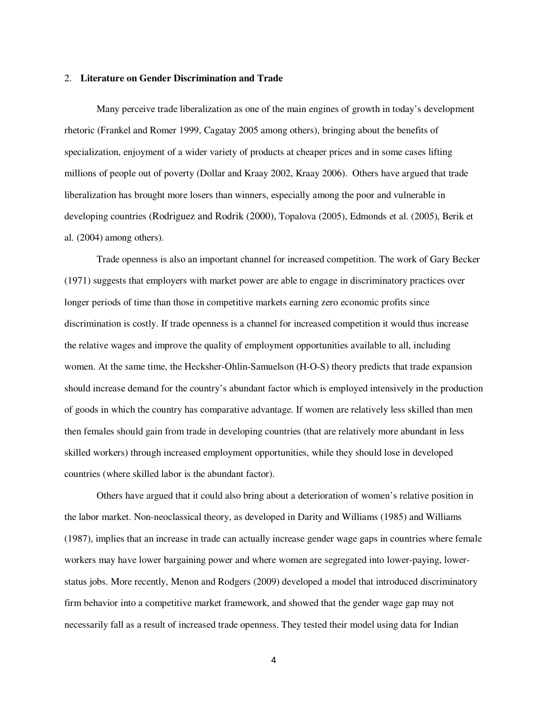#### 2. **Literature on Gender Discrimination and Trade**

Many perceive trade liberalization as one of the main engines of growth in today's development rhetoric (Frankel and Romer 1999, Cagatay 2005 among others), bringing about the benefits of specialization, enjoyment of a wider variety of products at cheaper prices and in some cases lifting millions of people out of poverty (Dollar and Kraay 2002, Kraay 2006). Others have argued that trade liberalization has brought more losers than winners, especially among the poor and vulnerable in developing countries (Rodriguez and Rodrik (2000), Topalova (2005), Edmonds et al. (2005), Berik et al. (2004) among others).

Trade openness is also an important channel for increased competition. The work of Gary Becker (1971) suggests that employers with market power are able to engage in discriminatory practices over longer periods of time than those in competitive markets earning zero economic profits since discrimination is costly. If trade openness is a channel for increased competition it would thus increase the relative wages and improve the quality of employment opportunities available to all, including women. At the same time, the Hecksher-Ohlin-Samuelson (H-O-S) theory predicts that trade expansion should increase demand for the country's abundant factor which is employed intensively in the production of goods in which the country has comparative advantage. If women are relatively less skilled than men then females should gain from trade in developing countries (that are relatively more abundant in less skilled workers) through increased employment opportunities, while they should lose in developed countries (where skilled labor is the abundant factor).

Others have argued that it could also bring about a deterioration of women's relative position in the labor market. Non-neoclassical theory, as developed in Darity and Williams (1985) and Williams (1987), implies that an increase in trade can actually increase gender wage gaps in countries where female workers may have lower bargaining power and where women are segregated into lower-paying, lowerstatus jobs. More recently, Menon and Rodgers (2009) developed a model that introduced discriminatory firm behavior into a competitive market framework, and showed that the gender wage gap may not necessarily fall as a result of increased trade openness. They tested their model using data for Indian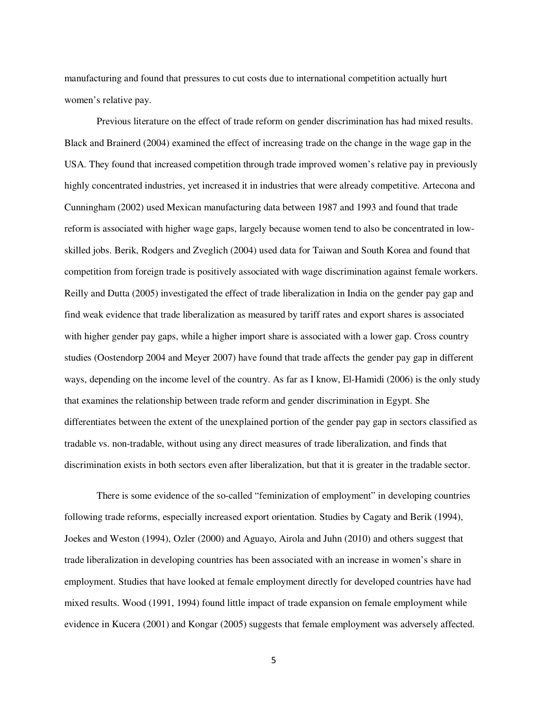manufacturing and found that pressures to cut costs due to international competition actually hurt women's relative pay.

Previous literature on the effect of trade reform on gender discrimination has had mixed results. Black and Brainerd (2004) examined the effect of increasing trade on the change in the wage gap in the USA. They found that increased competition through trade improved women's relative pay in previously highly concentrated industries, yet increased it in industries that were already competitive. Artecona and Cunningham (2002) used Mexican manufacturing data between 1987 and 1993 and found that trade reform is associated with higher wage gaps, largely because women tend to also be concentrated in lowskilled jobs. Berik, Rodgers and Zveglich (2004) used data for Taiwan and South Korea and found that competition from foreign trade is positively associated with wage discrimination against female workers. Reilly and Dutta (2005) investigated the effect of trade liberalization in India on the gender pay gap and find weak evidence that trade liberalization as measured by tariff rates and export shares is associated with higher gender pay gaps, while a higher import share is associated with a lower gap. Cross country studies (Oostendorp 2004 and Meyer 2007) have found that trade affects the gender pay gap in different ways, depending on the income level of the country. As far as I know, El-Hamidi (2006) is the only study that examines the relationship between trade reform and gender discrimination in Egypt. She differentiates between the extent of the unexplained portion of the gender pay gap in sectors classified as tradable vs. non-tradable, without using any direct measures of trade liberalization, and finds that discrimination exists in both sectors even after liberalization, but that it is greater in the tradable sector.

There is some evidence of the so-called "feminization of employment" in developing countries following trade reforms, especially increased export orientation. Studies by Cagaty and Berik (1994), Joekes and Weston (1994), Ozler (2000) and Aguayo, Airola and Juhn (2010) and others suggest that trade liberalization in developing countries has been associated with an increase in women's share in employment. Studies that have looked at female employment directly for developed countries have had mixed results. Wood (1991, 1994) found little impact of trade expansion on female employment while evidence in Kucera (2001) and Kongar (2005) suggests that female employment was adversely affected.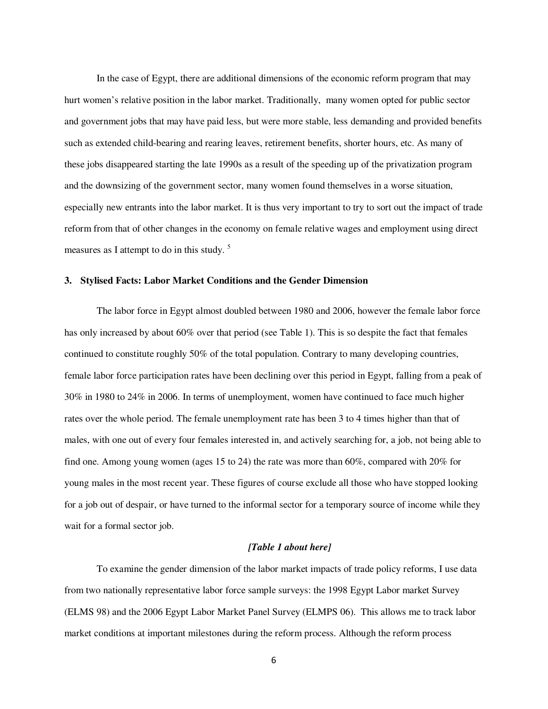In the case of Egypt, there are additional dimensions of the economic reform program that may hurt women's relative position in the labor market. Traditionally, many women opted for public sector and government jobs that may have paid less, but were more stable, less demanding and provided benefits such as extended child-bearing and rearing leaves, retirement benefits, shorter hours, etc. As many of these jobs disappeared starting the late 1990s as a result of the speeding up of the privatization program and the downsizing of the government sector, many women found themselves in a worse situation, especially new entrants into the labor market. It is thus very important to try to sort out the impact of trade reform from that of other changes in the economy on female relative wages and employment using direct measures as I attempt to do in this study.<sup>5</sup>

## **3. Stylised Facts: Labor Market Conditions and the Gender Dimension**

The labor force in Egypt almost doubled between 1980 and 2006, however the female labor force has only increased by about 60% over that period (see Table 1). This is so despite the fact that females continued to constitute roughly 50% of the total population. Contrary to many developing countries, female labor force participation rates have been declining over this period in Egypt, falling from a peak of 30% in 1980 to 24% in 2006. In terms of unemployment, women have continued to face much higher rates over the whole period. The female unemployment rate has been 3 to 4 times higher than that of males, with one out of every four females interested in, and actively searching for, a job, not being able to find one. Among young women (ages 15 to 24) the rate was more than 60%, compared with 20% for young males in the most recent year. These figures of course exclude all those who have stopped looking for a job out of despair, or have turned to the informal sector for a temporary source of income while they wait for a formal sector job.

# *[Table 1 about here]*

To examine the gender dimension of the labor market impacts of trade policy reforms, I use data from two nationally representative labor force sample surveys: the 1998 Egypt Labor market Survey (ELMS 98) and the 2006 Egypt Labor Market Panel Survey (ELMPS 06). This allows me to track labor market conditions at important milestones during the reform process. Although the reform process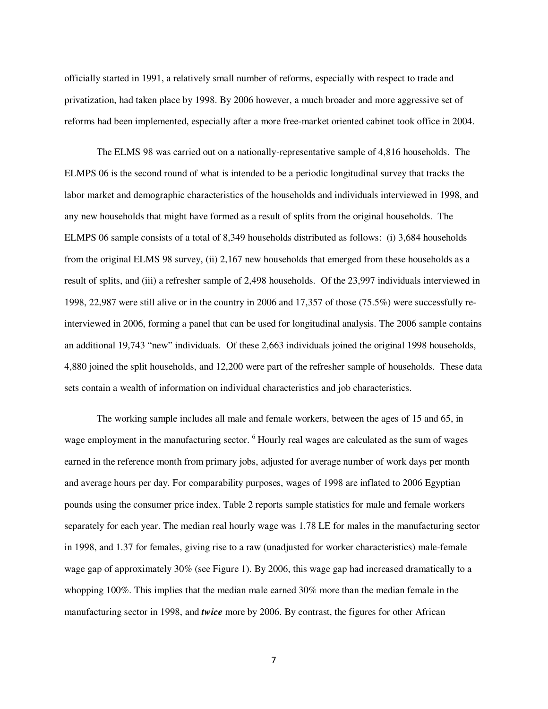officially started in 1991, a relatively small number of reforms, especially with respect to trade and privatization, had taken place by 1998. By 2006 however, a much broader and more aggressive set of reforms had been implemented, especially after a more free-market oriented cabinet took office in 2004.

The ELMS 98 was carried out on a nationally-representative sample of 4,816 households. The ELMPS 06 is the second round of what is intended to be a periodic longitudinal survey that tracks the labor market and demographic characteristics of the households and individuals interviewed in 1998, and any new households that might have formed as a result of splits from the original households. The ELMPS 06 sample consists of a total of 8,349 households distributed as follows: (i) 3,684 households from the original ELMS 98 survey, (ii) 2,167 new households that emerged from these households as a result of splits, and (iii) a refresher sample of 2,498 households. Of the 23,997 individuals interviewed in 1998, 22,987 were still alive or in the country in 2006 and 17,357 of those (75.5%) were successfully reinterviewed in 2006, forming a panel that can be used for longitudinal analysis. The 2006 sample contains an additional 19,743 "new" individuals. Of these 2,663 individuals joined the original 1998 households, 4,880 joined the split households, and 12,200 were part of the refresher sample of households. These data sets contain a wealth of information on individual characteristics and job characteristics.

The working sample includes all male and female workers, between the ages of 15 and 65, in wage employment in the manufacturing sector. <sup>6</sup> Hourly real wages are calculated as the sum of wages earned in the reference month from primary jobs, adjusted for average number of work days per month and average hours per day. For comparability purposes, wages of 1998 are inflated to 2006 Egyptian pounds using the consumer price index. Table 2 reports sample statistics for male and female workers separately for each year. The median real hourly wage was 1.78 LE for males in the manufacturing sector in 1998, and 1.37 for females, giving rise to a raw (unadjusted for worker characteristics) male-female wage gap of approximately 30% (see Figure 1). By 2006, this wage gap had increased dramatically to a whopping 100%. This implies that the median male earned 30% more than the median female in the manufacturing sector in 1998, and *twice* more by 2006. By contrast, the figures for other African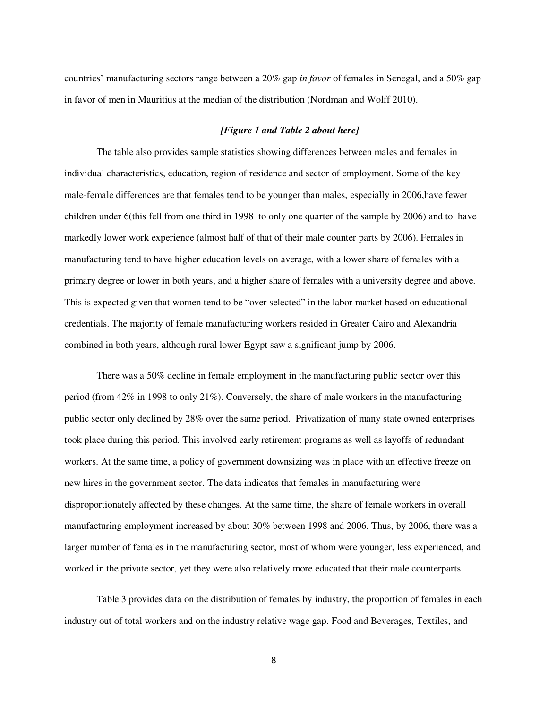countries' manufacturing sectors range between a 20% gap *in favor* of females in Senegal, and a 50% gap in favor of men in Mauritius at the median of the distribution (Nordman and Wolff 2010).

## *[Figure 1 and Table 2 about here]*

The table also provides sample statistics showing differences between males and females in individual characteristics, education, region of residence and sector of employment. Some of the key male-female differences are that females tend to be younger than males, especially in 2006,have fewer children under 6(this fell from one third in 1998 to only one quarter of the sample by 2006) and to have markedly lower work experience (almost half of that of their male counter parts by 2006). Females in manufacturing tend to have higher education levels on average, with a lower share of females with a primary degree or lower in both years, and a higher share of females with a university degree and above. This is expected given that women tend to be "over selected" in the labor market based on educational credentials. The majority of female manufacturing workers resided in Greater Cairo and Alexandria combined in both years, although rural lower Egypt saw a significant jump by 2006.

There was a 50% decline in female employment in the manufacturing public sector over this period (from 42% in 1998 to only 21%). Conversely, the share of male workers in the manufacturing public sector only declined by 28% over the same period. Privatization of many state owned enterprises took place during this period. This involved early retirement programs as well as layoffs of redundant workers. At the same time, a policy of government downsizing was in place with an effective freeze on new hires in the government sector. The data indicates that females in manufacturing were disproportionately affected by these changes. At the same time, the share of female workers in overall manufacturing employment increased by about 30% between 1998 and 2006. Thus, by 2006, there was a larger number of females in the manufacturing sector, most of whom were younger, less experienced, and worked in the private sector, yet they were also relatively more educated that their male counterparts.

Table 3 provides data on the distribution of females by industry, the proportion of females in each industry out of total workers and on the industry relative wage gap. Food and Beverages, Textiles, and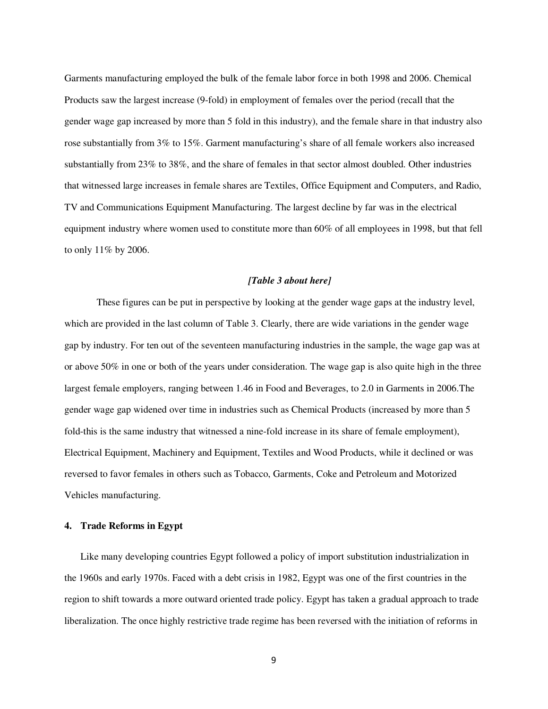Garments manufacturing employed the bulk of the female labor force in both 1998 and 2006. Chemical Products saw the largest increase (9-fold) in employment of females over the period (recall that the gender wage gap increased by more than 5 fold in this industry), and the female share in that industry also rose substantially from 3% to 15%. Garment manufacturing's share of all female workers also increased substantially from 23% to 38%, and the share of females in that sector almost doubled. Other industries that witnessed large increases in female shares are Textiles, Office Equipment and Computers, and Radio, TV and Communications Equipment Manufacturing. The largest decline by far was in the electrical equipment industry where women used to constitute more than 60% of all employees in 1998, but that fell to only 11% by 2006.

# *[Table 3 about here]*

These figures can be put in perspective by looking at the gender wage gaps at the industry level, which are provided in the last column of Table 3. Clearly, there are wide variations in the gender wage gap by industry. For ten out of the seventeen manufacturing industries in the sample, the wage gap was at or above 50% in one or both of the years under consideration. The wage gap is also quite high in the three largest female employers, ranging between 1.46 in Food and Beverages, to 2.0 in Garments in 2006.The gender wage gap widened over time in industries such as Chemical Products (increased by more than 5 fold-this is the same industry that witnessed a nine-fold increase in its share of female employment), Electrical Equipment, Machinery and Equipment, Textiles and Wood Products, while it declined or was reversed to favor females in others such as Tobacco, Garments, Coke and Petroleum and Motorized Vehicles manufacturing.

## **4. Trade Reforms in Egypt**

Like many developing countries Egypt followed a policy of import substitution industrialization in the 1960s and early 1970s. Faced with a debt crisis in 1982, Egypt was one of the first countries in the region to shift towards a more outward oriented trade policy. Egypt has taken a gradual approach to trade liberalization. The once highly restrictive trade regime has been reversed with the initiation of reforms in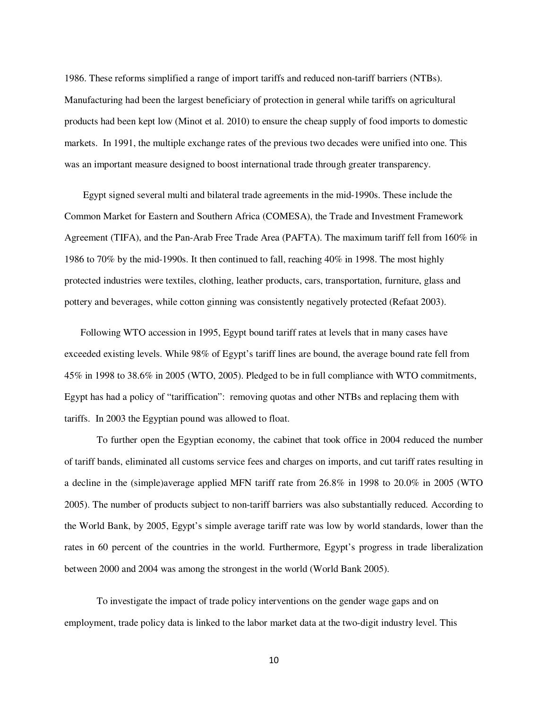1986. These reforms simplified a range of import tariffs and reduced non-tariff barriers (NTBs). Manufacturing had been the largest beneficiary of protection in general while tariffs on agricultural products had been kept low (Minot et al. 2010) to ensure the cheap supply of food imports to domestic markets. In 1991, the multiple exchange rates of the previous two decades were unified into one. This was an important measure designed to boost international trade through greater transparency.

 Egypt signed several multi and bilateral trade agreements in the mid-1990s. These include the Common Market for Eastern and Southern Africa (COMESA), the Trade and Investment Framework Agreement (TIFA), and the Pan-Arab Free Trade Area (PAFTA). The maximum tariff fell from 160% in 1986 to 70% by the mid-1990s. It then continued to fall, reaching 40% in 1998. The most highly protected industries were textiles, clothing, leather products, cars, transportation, furniture, glass and pottery and beverages, while cotton ginning was consistently negatively protected (Refaat 2003).

Following WTO accession in 1995, Egypt bound tariff rates at levels that in many cases have exceeded existing levels. While 98% of Egypt's tariff lines are bound, the average bound rate fell from 45% in 1998 to 38.6% in 2005 (WTO, 2005). Pledged to be in full compliance with WTO commitments, Egypt has had a policy of "tariffication": removing quotas and other NTBs and replacing them with tariffs. In 2003 the Egyptian pound was allowed to float.

 To further open the Egyptian economy, the cabinet that took office in 2004 reduced the number of tariff bands, eliminated all customs service fees and charges on imports, and cut tariff rates resulting in a decline in the (simple)average applied MFN tariff rate from 26.8% in 1998 to 20.0% in 2005 (WTO 2005). The number of products subject to non-tariff barriers was also substantially reduced. According to the World Bank, by 2005, Egypt's simple average tariff rate was low by world standards, lower than the rates in 60 percent of the countries in the world. Furthermore, Egypt's progress in trade liberalization between 2000 and 2004 was among the strongest in the world (World Bank 2005).

To investigate the impact of trade policy interventions on the gender wage gaps and on employment, trade policy data is linked to the labor market data at the two-digit industry level. This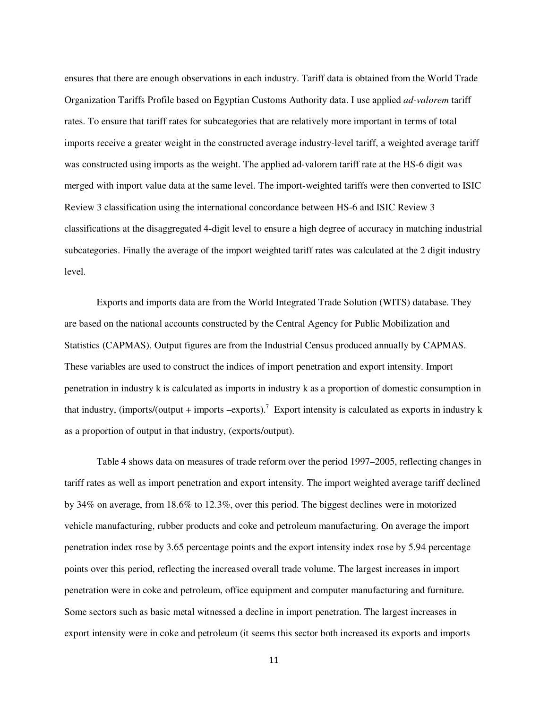ensures that there are enough observations in each industry. Tariff data is obtained from the World Trade Organization Tariffs Profile based on Egyptian Customs Authority data. I use applied *ad-valorem* tariff rates. To ensure that tariff rates for subcategories that are relatively more important in terms of total imports receive a greater weight in the constructed average industry-level tariff, a weighted average tariff was constructed using imports as the weight. The applied ad-valorem tariff rate at the HS-6 digit was merged with import value data at the same level. The import-weighted tariffs were then converted to ISIC Review 3 classification using the international concordance between HS-6 and ISIC Review 3 classifications at the disaggregated 4-digit level to ensure a high degree of accuracy in matching industrial subcategories. Finally the average of the import weighted tariff rates was calculated at the 2 digit industry level.

Exports and imports data are from the World Integrated Trade Solution (WITS) database. They are based on the national accounts constructed by the Central Agency for Public Mobilization and Statistics (CAPMAS). Output figures are from the Industrial Census produced annually by CAPMAS. These variables are used to construct the indices of import penetration and export intensity. Import penetration in industry k is calculated as imports in industry k as a proportion of domestic consumption in that industry, (imports/(output + imports –exports).<sup>7</sup> Export intensity is calculated as exports in industry k as a proportion of output in that industry, (exports/output).

Table 4 shows data on measures of trade reform over the period 1997–2005, reflecting changes in tariff rates as well as import penetration and export intensity. The import weighted average tariff declined by 34% on average, from 18.6% to 12.3%, over this period. The biggest declines were in motorized vehicle manufacturing, rubber products and coke and petroleum manufacturing. On average the import penetration index rose by 3.65 percentage points and the export intensity index rose by 5.94 percentage points over this period, reflecting the increased overall trade volume. The largest increases in import penetration were in coke and petroleum, office equipment and computer manufacturing and furniture. Some sectors such as basic metal witnessed a decline in import penetration. The largest increases in export intensity were in coke and petroleum (it seems this sector both increased its exports and imports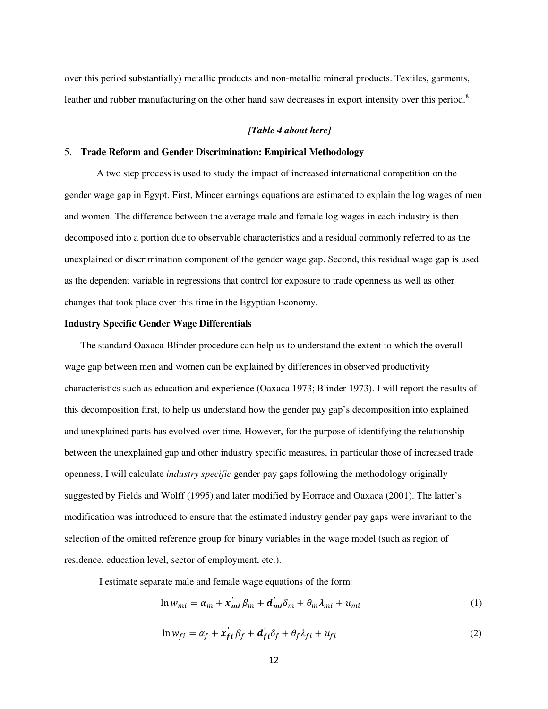over this period substantially) metallic products and non-metallic mineral products. Textiles, garments, leather and rubber manufacturing on the other hand saw decreases in export intensity over this period.<sup>8</sup>

#### *[Table 4 about here]*

## 5. **Trade Reform and Gender Discrimination: Empirical Methodology**

 A two step process is used to study the impact of increased international competition on the gender wage gap in Egypt. First, Mincer earnings equations are estimated to explain the log wages of men and women. The difference between the average male and female log wages in each industry is then decomposed into a portion due to observable characteristics and a residual commonly referred to as the unexplained or discrimination component of the gender wage gap. Second, this residual wage gap is used as the dependent variable in regressions that control for exposure to trade openness as well as other changes that took place over this time in the Egyptian Economy.

## **Industry Specific Gender Wage Differentials**

The standard Oaxaca-Blinder procedure can help us to understand the extent to which the overall wage gap between men and women can be explained by differences in observed productivity characteristics such as education and experience (Oaxaca 1973; Blinder 1973). I will report the results of this decomposition first, to help us understand how the gender pay gap's decomposition into explained and unexplained parts has evolved over time. However, for the purpose of identifying the relationship between the unexplained gap and other industry specific measures, in particular those of increased trade openness, I will calculate *industry specific* gender pay gaps following the methodology originally suggested by Fields and Wolff (1995) and later modified by Horrace and Oaxaca (2001). The latter's modification was introduced to ensure that the estimated industry gender pay gaps were invariant to the selection of the omitted reference group for binary variables in the wage model (such as region of residence, education level, sector of employment, etc.).

I estimate separate male and female wage equations of the form:

$$
\ln w_{mi} = \alpha_m + x'_{mi} \beta_m + d'_{mi} \delta_m + \theta_m \lambda_{mi} + u_{mi}
$$
 (1)

$$
\ln w_{fi} = \alpha_f + x'_{fi} \beta_f + d'_{fi} \delta_f + \theta_f \lambda_{fi} + u_{fi}
$$
\n(2)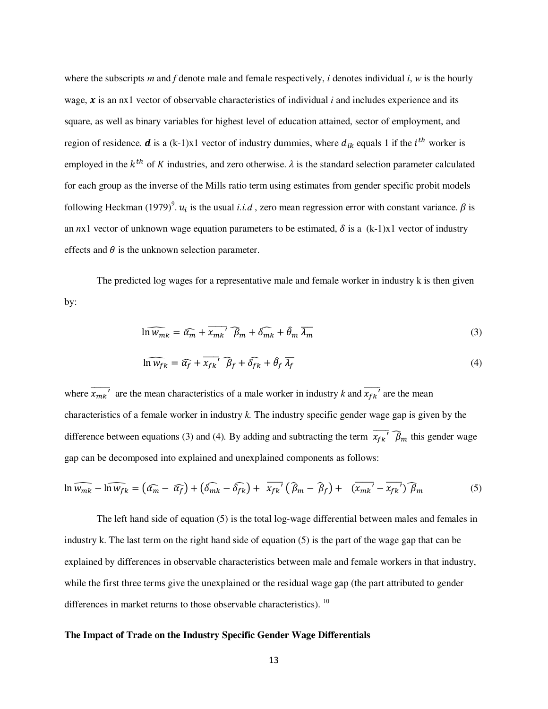where the subscripts *m* and *f* denote male and female respectively, *i* denotes individual *i*, *w* is the hourly wage,  $\boldsymbol{x}$  is an nx1 vector of observable characteristics of individual *i* and includes experience and its square, as well as binary variables for highest level of education attained, sector of employment, and region of residence. *d* is a (k-1)x1 vector of industry dummies, where  $d_{ik}$  equals 1 if the  $i^{th}$  worker is employed in the  $k^{th}$  of K industries, and zero otherwise.  $\lambda$  is the standard selection parameter calculated for each group as the inverse of the Mills ratio term using estimates from gender specific probit models following Heckman (1979)<sup>9</sup>.  $u_i$  is the usual *i.i.d*, zero mean regression error with constant variance.  $\beta$  is an  $n \times 1$  vector of unknown wage equation parameters to be estimated,  $\delta$  is a (k-1)x1 vector of industry effects and  $\theta$  is the unknown selection parameter.

The predicted log wages for a representative male and female worker in industry k is then given by:

$$
\ln \widehat{w_{mk}} = \widehat{\alpha_m} + \overline{x_{mk}}' \widehat{\beta_m} + \widehat{\delta_{mk}} + \widehat{\theta_m} \,\overline{\lambda_m} \tag{3}
$$

$$
\widehat{\ln w_{fk}} = \widehat{\alpha_f} + \overline{x_{fk}}' \widehat{\beta_f} + \widehat{\delta_{fk}} + \widehat{\theta_f} \overline{\lambda_f}
$$
(4)

where  $\overline{x_{mk}}'$  are the mean characteristics of a male worker in industry *k* and  $\overline{x_{fk}}'$  are the mean characteristics of a female worker in industry *k.* The industry specific gender wage gap is given by the difference between equations (3) and (4). By adding and subtracting the term  $\overline{x_{fk}}^7$   $\widehat{\beta}_m$  this gender wage gap can be decomposed into explained and unexplained components as follows:

$$
\ln \widehat{w_{mk}} - \widehat{\ln w_{fk}} = \left(\widehat{\alpha_m} - \widehat{\alpha_f}\right) + \left(\widehat{\delta_{mk}} - \widehat{\delta_{fk}}\right) + \overline{x_{fk}}' \left(\widehat{\beta}_m - \widehat{\beta}_f\right) + \overline{(x_{mk}' - x_{fk})'} \widehat{\beta}_m
$$
(5)

The left hand side of equation (5) is the total log-wage differential between males and females in industry k. The last term on the right hand side of equation (5) is the part of the wage gap that can be explained by differences in observable characteristics between male and female workers in that industry, while the first three terms give the unexplained or the residual wage gap (the part attributed to gender differences in market returns to those observable characteristics).  $10$ 

# **The Impact of Trade on the Industry Specific Gender Wage Differentials**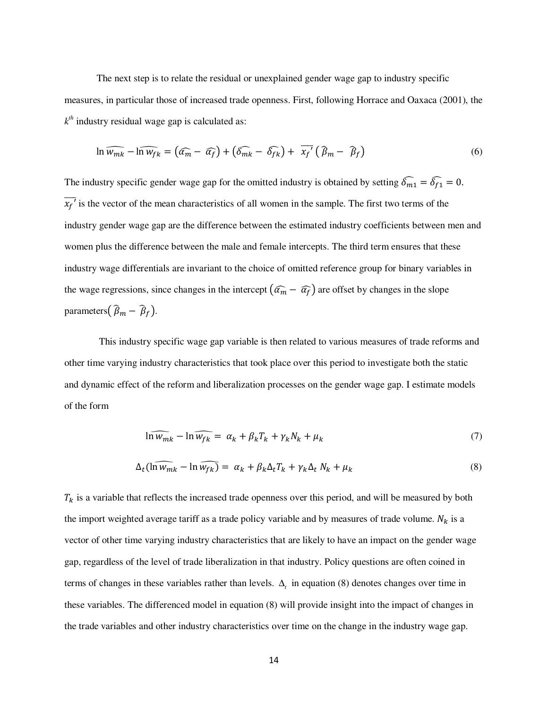The next step is to relate the residual or unexplained gender wage gap to industry specific measures, in particular those of increased trade openness. First, following Horrace and Oaxaca (2001), the  $k$ <sup>th</sup> industry residual wage gap is calculated as:

$$
\ln \widehat{w_{mk}} - \widehat{\ln w_{fk}} = \left(\widehat{\alpha_m} - \widehat{\alpha_f}\right) + \left(\widehat{\delta_{mk}} - \widehat{\delta_{fk}}\right) + \overline{x_f}^{\prime}\left(\widehat{\beta_m} - \widehat{\beta_f}\right) \tag{6}
$$

The industry specific gender wage gap for the omitted industry is obtained by setting  $\widehat{\delta_{m1}} = \widehat{\delta_{f1}} = 0$ .  $\overline{x_f}$  is the vector of the mean characteristics of all women in the sample. The first two terms of the industry gender wage gap are the difference between the estimated industry coefficients between men and women plus the difference between the male and female intercepts. The third term ensures that these industry wage differentials are invariant to the choice of omitted reference group for binary variables in the wage regressions, since changes in the intercept  $(\widehat{\alpha_m} - \widehat{\alpha_f})$  are offset by changes in the slope parameters $(\widehat{\beta}_m - \widehat{\beta}_f).$ 

 This industry specific wage gap variable is then related to various measures of trade reforms and other time varying industry characteristics that took place over this period to investigate both the static and dynamic effect of the reform and liberalization processes on the gender wage gap. I estimate models of the form

$$
\ln \widehat{w_{mk}} - \ln \widehat{w_{fk}} = \alpha_k + \beta_k T_k + \gamma_k N_k + \mu_k \tag{7}
$$

$$
\Delta_t(\widehat{\ln w_{mk}} - \ln \widehat{w_{fk}}) = \alpha_k + \beta_k \Delta_t T_k + \gamma_k \Delta_t N_k + \mu_k \tag{8}
$$

 $T_k$  is a variable that reflects the increased trade openness over this period, and will be measured by both the import weighted average tariff as a trade policy variable and by measures of trade volume.  $N_k$  is a vector of other time varying industry characteristics that are likely to have an impact on the gender wage gap, regardless of the level of trade liberalization in that industry. Policy questions are often coined in terms of changes in these variables rather than levels.  $\Delta$ <sub>t</sub> in equation (8) denotes changes over time in these variables. The differenced model in equation (8) will provide insight into the impact of changes in the trade variables and other industry characteristics over time on the change in the industry wage gap.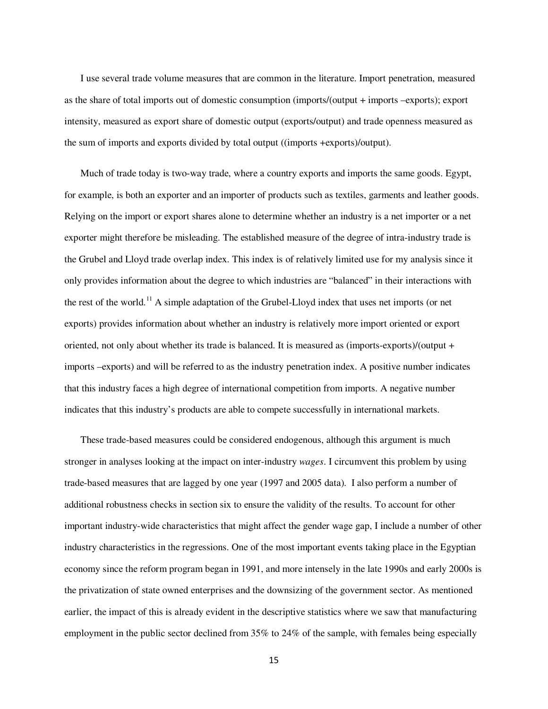I use several trade volume measures that are common in the literature. Import penetration, measured as the share of total imports out of domestic consumption (imports/(output + imports –exports); export intensity, measured as export share of domestic output (exports/output) and trade openness measured as the sum of imports and exports divided by total output ((imports +exports)/output).

Much of trade today is two-way trade, where a country exports and imports the same goods. Egypt, for example, is both an exporter and an importer of products such as textiles, garments and leather goods. Relying on the import or export shares alone to determine whether an industry is a net importer or a net exporter might therefore be misleading. The established measure of the degree of intra-industry trade is the Grubel and Lloyd trade overlap index. This index is of relatively limited use for my analysis since it only provides information about the degree to which industries are "balanced" in their interactions with the rest of the world.<sup>11</sup> A simple adaptation of the Grubel-Lloyd index that uses net imports (or net exports) provides information about whether an industry is relatively more import oriented or export oriented, not only about whether its trade is balanced. It is measured as (imports-exports)/(output + imports –exports) and will be referred to as the industry penetration index. A positive number indicates that this industry faces a high degree of international competition from imports. A negative number indicates that this industry's products are able to compete successfully in international markets.

These trade-based measures could be considered endogenous, although this argument is much stronger in analyses looking at the impact on inter-industry *wages*. I circumvent this problem by using trade-based measures that are lagged by one year (1997 and 2005 data). I also perform a number of additional robustness checks in section six to ensure the validity of the results. To account for other important industry-wide characteristics that might affect the gender wage gap, I include a number of other industry characteristics in the regressions. One of the most important events taking place in the Egyptian economy since the reform program began in 1991, and more intensely in the late 1990s and early 2000s is the privatization of state owned enterprises and the downsizing of the government sector. As mentioned earlier, the impact of this is already evident in the descriptive statistics where we saw that manufacturing employment in the public sector declined from 35% to 24% of the sample, with females being especially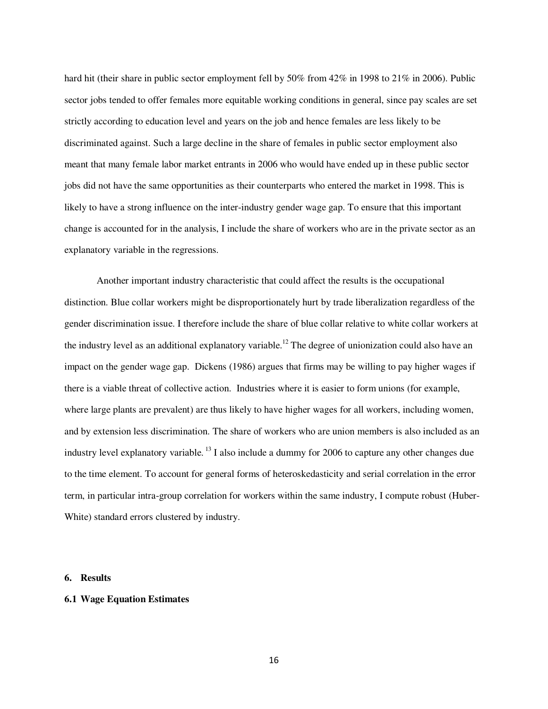hard hit (their share in public sector employment fell by 50% from 42% in 1998 to 21% in 2006). Public sector jobs tended to offer females more equitable working conditions in general, since pay scales are set strictly according to education level and years on the job and hence females are less likely to be discriminated against. Such a large decline in the share of females in public sector employment also meant that many female labor market entrants in 2006 who would have ended up in these public sector jobs did not have the same opportunities as their counterparts who entered the market in 1998. This is likely to have a strong influence on the inter-industry gender wage gap. To ensure that this important change is accounted for in the analysis, I include the share of workers who are in the private sector as an explanatory variable in the regressions.

Another important industry characteristic that could affect the results is the occupational distinction. Blue collar workers might be disproportionately hurt by trade liberalization regardless of the gender discrimination issue. I therefore include the share of blue collar relative to white collar workers at the industry level as an additional explanatory variable.<sup>12</sup> The degree of unionization could also have an impact on the gender wage gap. Dickens (1986) argues that firms may be willing to pay higher wages if there is a viable threat of collective action. Industries where it is easier to form unions (for example, where large plants are prevalent) are thus likely to have higher wages for all workers, including women, and by extension less discrimination. The share of workers who are union members is also included as an industry level explanatory variable.<sup>13</sup> I also include a dummy for 2006 to capture any other changes due to the time element. To account for general forms of heteroskedasticity and serial correlation in the error term, in particular intra-group correlation for workers within the same industry, I compute robust (Huber-White) standard errors clustered by industry.

## **6. Results**

## **6.1 Wage Equation Estimates**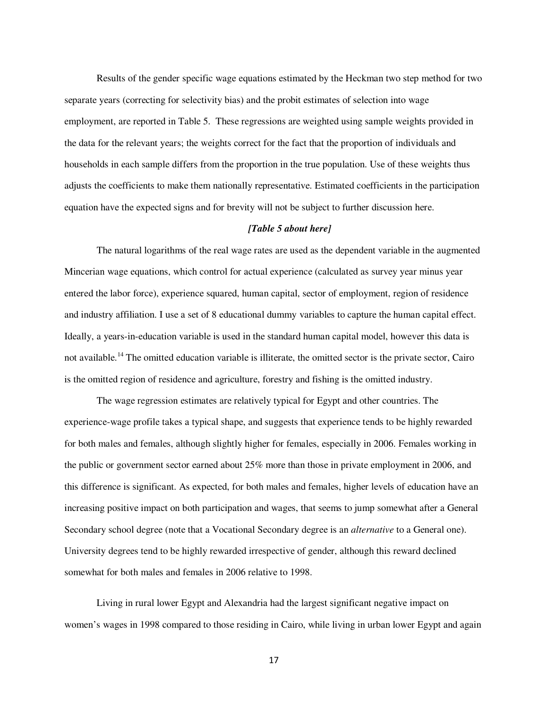Results of the gender specific wage equations estimated by the Heckman two step method for two separate years (correcting for selectivity bias) and the probit estimates of selection into wage employment, are reported in Table 5. These regressions are weighted using sample weights provided in the data for the relevant years; the weights correct for the fact that the proportion of individuals and households in each sample differs from the proportion in the true population. Use of these weights thus adjusts the coefficients to make them nationally representative. Estimated coefficients in the participation equation have the expected signs and for brevity will not be subject to further discussion here.

## *[Table 5 about here]*

The natural logarithms of the real wage rates are used as the dependent variable in the augmented Mincerian wage equations, which control for actual experience (calculated as survey year minus year entered the labor force), experience squared, human capital, sector of employment, region of residence and industry affiliation. I use a set of 8 educational dummy variables to capture the human capital effect. Ideally, a years-in-education variable is used in the standard human capital model, however this data is not available.<sup>14</sup> The omitted education variable is illiterate, the omitted sector is the private sector, Cairo is the omitted region of residence and agriculture, forestry and fishing is the omitted industry.

The wage regression estimates are relatively typical for Egypt and other countries. The experience-wage profile takes a typical shape, and suggests that experience tends to be highly rewarded for both males and females, although slightly higher for females, especially in 2006. Females working in the public or government sector earned about 25% more than those in private employment in 2006, and this difference is significant. As expected, for both males and females, higher levels of education have an increasing positive impact on both participation and wages, that seems to jump somewhat after a General Secondary school degree (note that a Vocational Secondary degree is an *alternative* to a General one). University degrees tend to be highly rewarded irrespective of gender, although this reward declined somewhat for both males and females in 2006 relative to 1998.

Living in rural lower Egypt and Alexandria had the largest significant negative impact on women's wages in 1998 compared to those residing in Cairo, while living in urban lower Egypt and again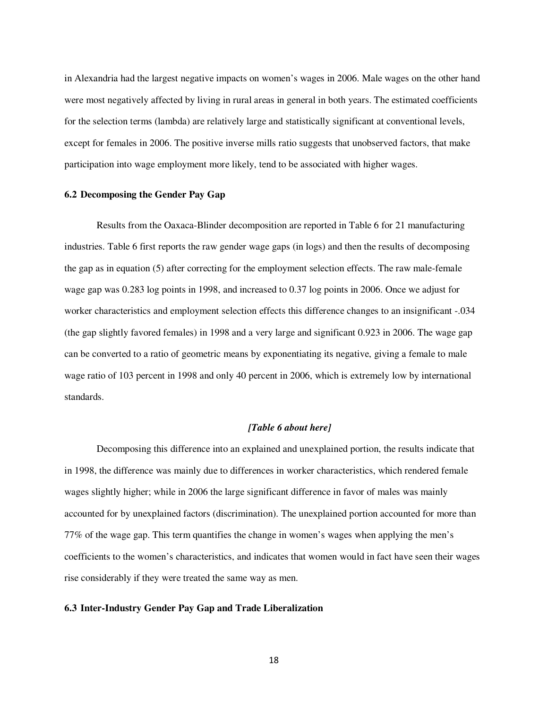in Alexandria had the largest negative impacts on women's wages in 2006. Male wages on the other hand were most negatively affected by living in rural areas in general in both years. The estimated coefficients for the selection terms (lambda) are relatively large and statistically significant at conventional levels, except for females in 2006. The positive inverse mills ratio suggests that unobserved factors, that make participation into wage employment more likely, tend to be associated with higher wages.

## **6.2 Decomposing the Gender Pay Gap**

Results from the Oaxaca-Blinder decomposition are reported in Table 6 for 21 manufacturing industries. Table 6 first reports the raw gender wage gaps (in logs) and then the results of decomposing the gap as in equation (5) after correcting for the employment selection effects. The raw male-female wage gap was 0.283 log points in 1998, and increased to 0.37 log points in 2006. Once we adjust for worker characteristics and employment selection effects this difference changes to an insignificant -.034 (the gap slightly favored females) in 1998 and a very large and significant 0.923 in 2006. The wage gap can be converted to a ratio of geometric means by exponentiating its negative, giving a female to male wage ratio of 103 percent in 1998 and only 40 percent in 2006, which is extremely low by international standards.

## *[Table 6 about here]*

Decomposing this difference into an explained and unexplained portion, the results indicate that in 1998, the difference was mainly due to differences in worker characteristics, which rendered female wages slightly higher; while in 2006 the large significant difference in favor of males was mainly accounted for by unexplained factors (discrimination). The unexplained portion accounted for more than 77% of the wage gap. This term quantifies the change in women's wages when applying the men's coefficients to the women's characteristics, and indicates that women would in fact have seen their wages rise considerably if they were treated the same way as men.

## **6.3 Inter-Industry Gender Pay Gap and Trade Liberalization**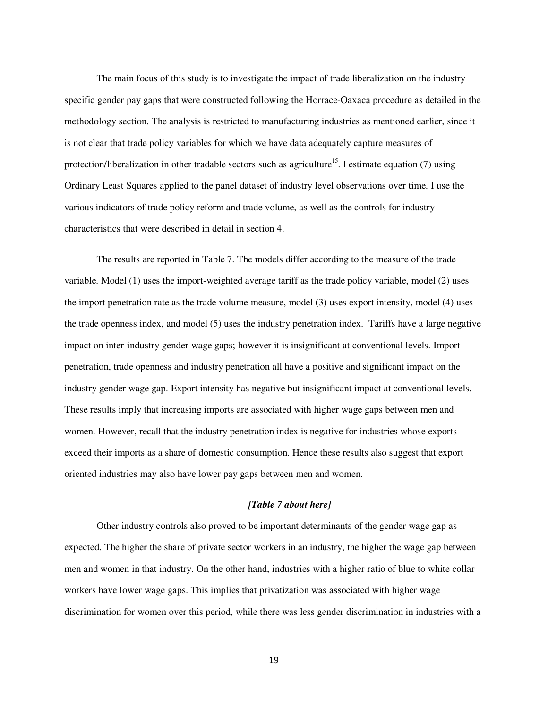The main focus of this study is to investigate the impact of trade liberalization on the industry specific gender pay gaps that were constructed following the Horrace-Oaxaca procedure as detailed in the methodology section. The analysis is restricted to manufacturing industries as mentioned earlier, since it is not clear that trade policy variables for which we have data adequately capture measures of protection/liberalization in other tradable sectors such as agriculture<sup>15</sup>. I estimate equation (7) using Ordinary Least Squares applied to the panel dataset of industry level observations over time. I use the various indicators of trade policy reform and trade volume, as well as the controls for industry characteristics that were described in detail in section 4.

The results are reported in Table 7. The models differ according to the measure of the trade variable. Model (1) uses the import-weighted average tariff as the trade policy variable, model (2) uses the import penetration rate as the trade volume measure, model (3) uses export intensity, model (4) uses the trade openness index, and model (5) uses the industry penetration index. Tariffs have a large negative impact on inter-industry gender wage gaps; however it is insignificant at conventional levels. Import penetration, trade openness and industry penetration all have a positive and significant impact on the industry gender wage gap. Export intensity has negative but insignificant impact at conventional levels. These results imply that increasing imports are associated with higher wage gaps between men and women. However, recall that the industry penetration index is negative for industries whose exports exceed their imports as a share of domestic consumption. Hence these results also suggest that export oriented industries may also have lower pay gaps between men and women.

# *[Table 7 about here]*

Other industry controls also proved to be important determinants of the gender wage gap as expected. The higher the share of private sector workers in an industry, the higher the wage gap between men and women in that industry. On the other hand, industries with a higher ratio of blue to white collar workers have lower wage gaps. This implies that privatization was associated with higher wage discrimination for women over this period, while there was less gender discrimination in industries with a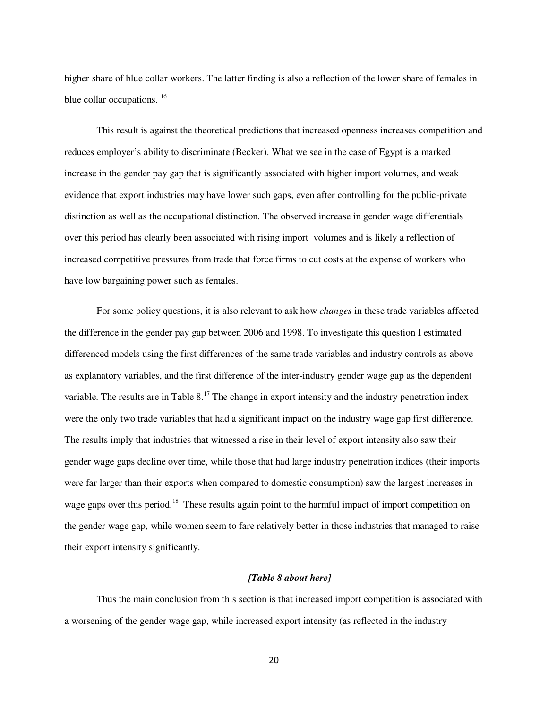higher share of blue collar workers. The latter finding is also a reflection of the lower share of females in blue collar occupations. <sup>16</sup>

This result is against the theoretical predictions that increased openness increases competition and reduces employer's ability to discriminate (Becker). What we see in the case of Egypt is a marked increase in the gender pay gap that is significantly associated with higher import volumes, and weak evidence that export industries may have lower such gaps, even after controlling for the public-private distinction as well as the occupational distinction. The observed increase in gender wage differentials over this period has clearly been associated with rising import volumes and is likely a reflection of increased competitive pressures from trade that force firms to cut costs at the expense of workers who have low bargaining power such as females.

For some policy questions, it is also relevant to ask how *changes* in these trade variables affected the difference in the gender pay gap between 2006 and 1998. To investigate this question I estimated differenced models using the first differences of the same trade variables and industry controls as above as explanatory variables, and the first difference of the inter-industry gender wage gap as the dependent variable. The results are in Table 8.<sup>17</sup> The change in export intensity and the industry penetration index were the only two trade variables that had a significant impact on the industry wage gap first difference. The results imply that industries that witnessed a rise in their level of export intensity also saw their gender wage gaps decline over time, while those that had large industry penetration indices (their imports were far larger than their exports when compared to domestic consumption) saw the largest increases in wage gaps over this period.<sup>18</sup> These results again point to the harmful impact of import competition on the gender wage gap, while women seem to fare relatively better in those industries that managed to raise their export intensity significantly.

# *[Table 8 about here]*

Thus the main conclusion from this section is that increased import competition is associated with a worsening of the gender wage gap, while increased export intensity (as reflected in the industry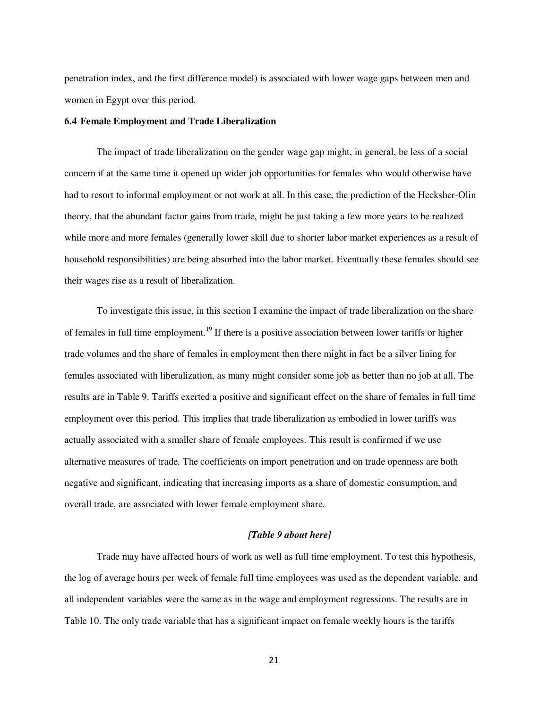penetration index, and the first difference model) is associated with lower wage gaps between men and women in Egypt over this period.

## **6.4 Female Employment and Trade Liberalization**

 The impact of trade liberalization on the gender wage gap might, in general, be less of a social concern if at the same time it opened up wider job opportunities for females who would otherwise have had to resort to informal employment or not work at all. In this case, the prediction of the Hecksher-Olin theory, that the abundant factor gains from trade, might be just taking a few more years to be realized while more and more females (generally lower skill due to shorter labor market experiences as a result of household responsibilities) are being absorbed into the labor market. Eventually these females should see their wages rise as a result of liberalization.

 To investigate this issue, in this section I examine the impact of trade liberalization on the share of females in full time employment.<sup>19</sup> If there is a positive association between lower tariffs or higher trade volumes and the share of females in employment then there might in fact be a silver lining for females associated with liberalization, as many might consider some job as better than no job at all. The results are in Table 9. Tariffs exerted a positive and significant effect on the share of females in full time employment over this period. This implies that trade liberalization as embodied in lower tariffs was actually associated with a smaller share of female employees. This result is confirmed if we use alternative measures of trade. The coefficients on import penetration and on trade openness are both negative and significant, indicating that increasing imports as a share of domestic consumption, and overall trade, are associated with lower female employment share.

# *[Table 9 about here]*

 Trade may have affected hours of work as well as full time employment. To test this hypothesis, the log of average hours per week of female full time employees was used as the dependent variable, and all independent variables were the same as in the wage and employment regressions. The results are in Table 10. The only trade variable that has a significant impact on female weekly hours is the tariffs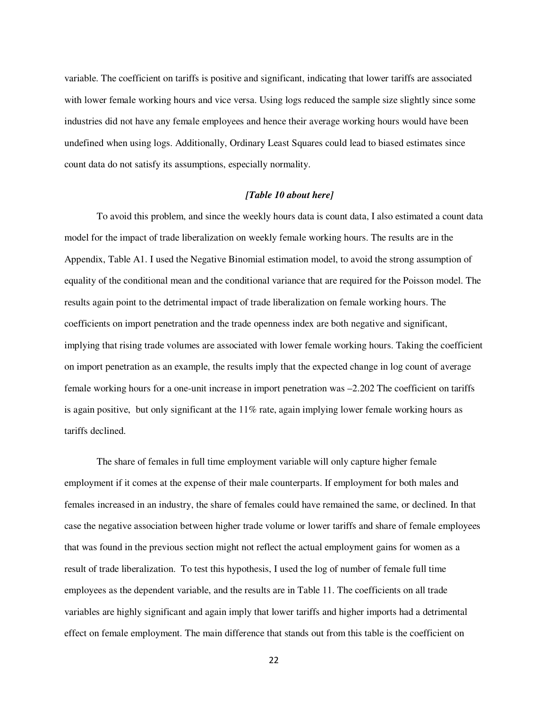variable. The coefficient on tariffs is positive and significant, indicating that lower tariffs are associated with lower female working hours and vice versa. Using logs reduced the sample size slightly since some industries did not have any female employees and hence their average working hours would have been undefined when using logs. Additionally, Ordinary Least Squares could lead to biased estimates since count data do not satisfy its assumptions, especially normality.

# *[Table 10 about here]*

To avoid this problem, and since the weekly hours data is count data, I also estimated a count data model for the impact of trade liberalization on weekly female working hours. The results are in the Appendix, Table A1. I used the Negative Binomial estimation model, to avoid the strong assumption of equality of the conditional mean and the conditional variance that are required for the Poisson model. The results again point to the detrimental impact of trade liberalization on female working hours. The coefficients on import penetration and the trade openness index are both negative and significant, implying that rising trade volumes are associated with lower female working hours. Taking the coefficient on import penetration as an example, the results imply that the expected change in log count of average female working hours for a one-unit increase in import penetration was –2.202 The coefficient on tariffs is again positive, but only significant at the  $11\%$  rate, again implying lower female working hours as tariffs declined.

The share of females in full time employment variable will only capture higher female employment if it comes at the expense of their male counterparts. If employment for both males and females increased in an industry, the share of females could have remained the same, or declined. In that case the negative association between higher trade volume or lower tariffs and share of female employees that was found in the previous section might not reflect the actual employment gains for women as a result of trade liberalization. To test this hypothesis, I used the log of number of female full time employees as the dependent variable, and the results are in Table 11. The coefficients on all trade variables are highly significant and again imply that lower tariffs and higher imports had a detrimental effect on female employment. The main difference that stands out from this table is the coefficient on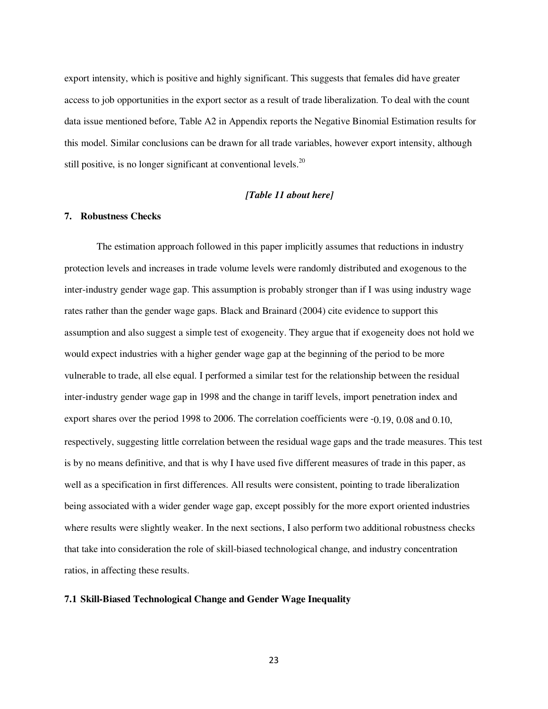export intensity, which is positive and highly significant. This suggests that females did have greater access to job opportunities in the export sector as a result of trade liberalization. To deal with the count data issue mentioned before, Table A2 in Appendix reports the Negative Binomial Estimation results for this model. Similar conclusions can be drawn for all trade variables, however export intensity, although still positive, is no longer significant at conventional levels.<sup>20</sup>

# *[Table 11 about here]*

# **7. Robustness Checks**

The estimation approach followed in this paper implicitly assumes that reductions in industry protection levels and increases in trade volume levels were randomly distributed and exogenous to the inter-industry gender wage gap. This assumption is probably stronger than if I was using industry wage rates rather than the gender wage gaps. Black and Brainard (2004) cite evidence to support this assumption and also suggest a simple test of exogeneity. They argue that if exogeneity does not hold we would expect industries with a higher gender wage gap at the beginning of the period to be more vulnerable to trade, all else equal. I performed a similar test for the relationship between the residual inter-industry gender wage gap in 1998 and the change in tariff levels, import penetration index and export shares over the period 1998 to 2006. The correlation coefficients were -0.19, 0.08 and 0.10, respectively, suggesting little correlation between the residual wage gaps and the trade measures. This test is by no means definitive, and that is why I have used five different measures of trade in this paper, as well as a specification in first differences. All results were consistent, pointing to trade liberalization being associated with a wider gender wage gap, except possibly for the more export oriented industries where results were slightly weaker. In the next sections, I also perform two additional robustness checks that take into consideration the role of skill-biased technological change, and industry concentration ratios, in affecting these results.

#### **7.1 Skill-Biased Technological Change and Gender Wage Inequality**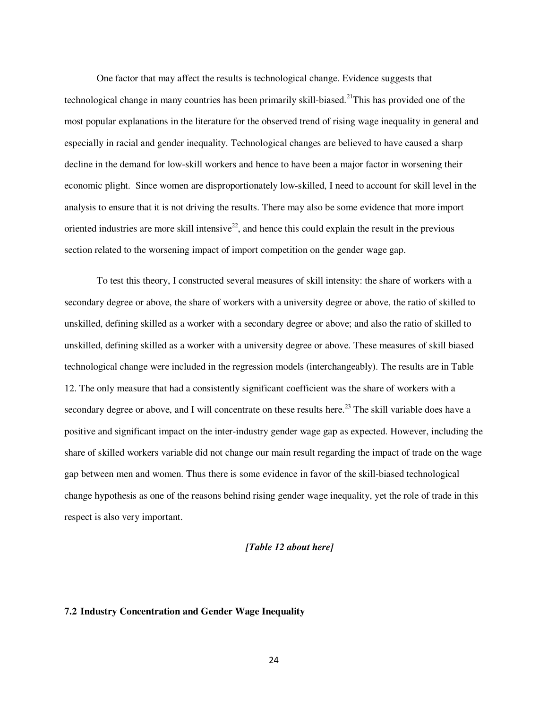One factor that may affect the results is technological change. Evidence suggests that technological change in many countries has been primarily skill-biased.<sup>21</sup>This has provided one of the most popular explanations in the literature for the observed trend of rising wage inequality in general and especially in racial and gender inequality. Technological changes are believed to have caused a sharp decline in the demand for low-skill workers and hence to have been a major factor in worsening their economic plight. Since women are disproportionately low-skilled, I need to account for skill level in the analysis to ensure that it is not driving the results. There may also be some evidence that more import oriented industries are more skill intensive<sup>22</sup>, and hence this could explain the result in the previous section related to the worsening impact of import competition on the gender wage gap.

 To test this theory, I constructed several measures of skill intensity: the share of workers with a secondary degree or above, the share of workers with a university degree or above, the ratio of skilled to unskilled, defining skilled as a worker with a secondary degree or above; and also the ratio of skilled to unskilled, defining skilled as a worker with a university degree or above. These measures of skill biased technological change were included in the regression models (interchangeably). The results are in Table 12. The only measure that had a consistently significant coefficient was the share of workers with a secondary degree or above, and I will concentrate on these results here.<sup>23</sup> The skill variable does have a positive and significant impact on the inter-industry gender wage gap as expected. However, including the share of skilled workers variable did not change our main result regarding the impact of trade on the wage gap between men and women. Thus there is some evidence in favor of the skill-biased technological change hypothesis as one of the reasons behind rising gender wage inequality, yet the role of trade in this respect is also very important.

#### *[Table 12 about here]*

# **7.2 Industry Concentration and Gender Wage Inequality**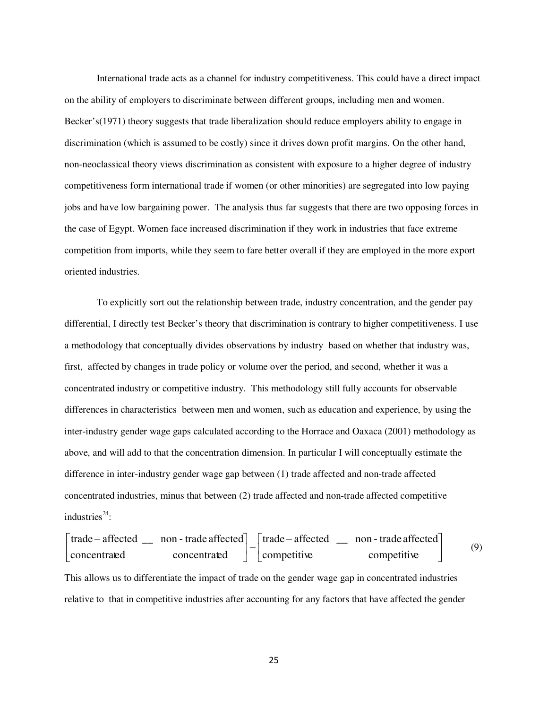International trade acts as a channel for industry competitiveness. This could have a direct impact on the ability of employers to discriminate between different groups, including men and women. Becker's(1971) theory suggests that trade liberalization should reduce employers ability to engage in discrimination (which is assumed to be costly) since it drives down profit margins. On the other hand, non-neoclassical theory views discrimination as consistent with exposure to a higher degree of industry competitiveness form international trade if women (or other minorities) are segregated into low paying jobs and have low bargaining power. The analysis thus far suggests that there are two opposing forces in the case of Egypt. Women face increased discrimination if they work in industries that face extreme competition from imports, while they seem to fare better overall if they are employed in the more export oriented industries.

To explicitly sort out the relationship between trade, industry concentration, and the gender pay differential, I directly test Becker's theory that discrimination is contrary to higher competitiveness. I use a methodology that conceptually divides observations by industry based on whether that industry was, first, affected by changes in trade policy or volume over the period, and second, whether it was a concentrated industry or competitive industry. This methodology still fully accounts for observable differences in characteristics between men and women, such as education and experience, by using the inter-industry gender wage gaps calculated according to the Horrace and Oaxaca (2001) methodology as above, and will add to that the concentration dimension. In particular I will conceptually estimate the difference in inter-industry gender wage gap between (1) trade affected and non-trade affected concentrated industries, minus that between (2) trade affected and non-trade affected competitive industries $^{24}$ :

| \n $\begin{bmatrix}\n \text{trade} - \text{affected} & \text{non-trade affected} \\ \text{concentrated} & \text{concentrated}\n \end{bmatrix}\n -\n \begin{bmatrix}\n \text{trade} - \text{affected} & \text{non-trade affected} \\ \text{competitive}\n \end{bmatrix}$ \n | \n $\begin{bmatrix}\n \text{connected} & \text{non-trade affected} \\ \text{competitive}\n \end{bmatrix}$ \n |
|----------------------------------------------------------------------------------------------------------------------------------------------------------------------------------------------------------------------------------------------------------------------------|--------------------------------------------------------------------------------------------------------------|
| \n        This allows us to differentiate the impact of trade on the gender wage gap in concentrated industries\n      relative to that in competitive industries after accounting for any factors that have affected the gender\n                                         |                                                                                                              |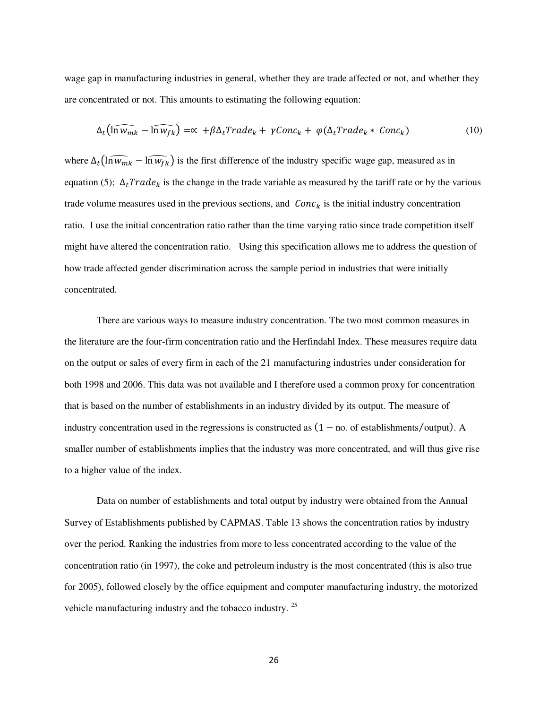wage gap in manufacturing industries in general, whether they are trade affected or not, and whether they are concentrated or not. This amounts to estimating the following equation:

$$
\Delta_t \left( \widehat{\ln w_{mk}} - \widehat{\ln w_{fk}} \right) = \propto +\beta \Delta_t Trade_k + \gamma Conc_k + \varphi(\Delta_t Trade_k * Conc_k)
$$
\n(10)

where  $\Delta_t \left( \widehat{\ln w_{mk}} - \widehat{\ln w_{fk}} \right)$  is the first difference of the industry specific wage gap, measured as in equation (5);  $\Delta_t Trade_k$  is the change in the trade variable as measured by the tariff rate or by the various trade volume measures used in the previous sections, and  $Conc_k$  is the initial industry concentration ratio. I use the initial concentration ratio rather than the time varying ratio since trade competition itself might have altered the concentration ratio. Using this specification allows me to address the question of how trade affected gender discrimination across the sample period in industries that were initially concentrated.

 There are various ways to measure industry concentration. The two most common measures in the literature are the four-firm concentration ratio and the Herfindahl Index. These measures require data on the output or sales of every firm in each of the 21 manufacturing industries under consideration for both 1998 and 2006. This data was not available and I therefore used a common proxy for concentration that is based on the number of establishments in an industry divided by its output. The measure of industry concentration used in the regressions is constructed as  $(1 - no$  of establishments/output). A smaller number of establishments implies that the industry was more concentrated, and will thus give rise to a higher value of the index.

Data on number of establishments and total output by industry were obtained from the Annual Survey of Establishments published by CAPMAS. Table 13 shows the concentration ratios by industry over the period. Ranking the industries from more to less concentrated according to the value of the concentration ratio (in 1997), the coke and petroleum industry is the most concentrated (this is also true for 2005), followed closely by the office equipment and computer manufacturing industry, the motorized vehicle manufacturing industry and the tobacco industry. <sup>25</sup>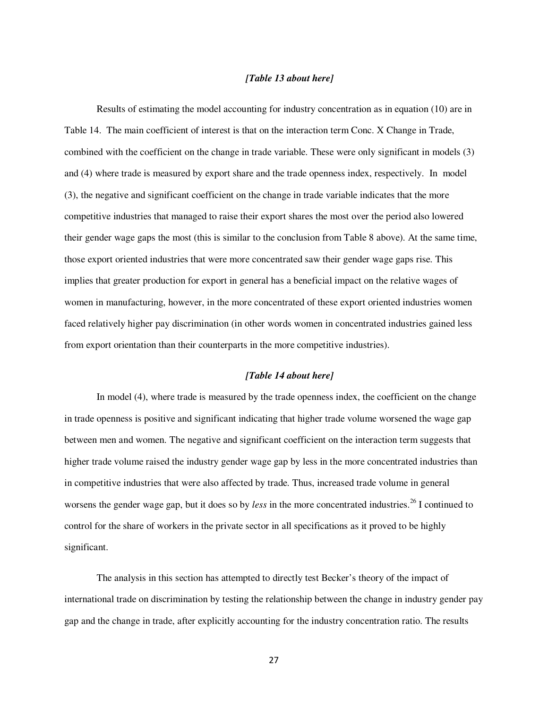# *[Table 13 about here]*

 Results of estimating the model accounting for industry concentration as in equation (10) are in Table 14. The main coefficient of interest is that on the interaction term Conc. X Change in Trade, combined with the coefficient on the change in trade variable. These were only significant in models (3) and (4) where trade is measured by export share and the trade openness index, respectively. In model (3), the negative and significant coefficient on the change in trade variable indicates that the more competitive industries that managed to raise their export shares the most over the period also lowered their gender wage gaps the most (this is similar to the conclusion from Table 8 above). At the same time, those export oriented industries that were more concentrated saw their gender wage gaps rise. This implies that greater production for export in general has a beneficial impact on the relative wages of women in manufacturing, however, in the more concentrated of these export oriented industries women faced relatively higher pay discrimination (in other words women in concentrated industries gained less from export orientation than their counterparts in the more competitive industries).

## *[Table 14 about here]*

In model (4), where trade is measured by the trade openness index, the coefficient on the change in trade openness is positive and significant indicating that higher trade volume worsened the wage gap between men and women. The negative and significant coefficient on the interaction term suggests that higher trade volume raised the industry gender wage gap by less in the more concentrated industries than in competitive industries that were also affected by trade. Thus, increased trade volume in general worsens the gender wage gap, but it does so by *less* in the more concentrated industries.<sup>26</sup> I continued to control for the share of workers in the private sector in all specifications as it proved to be highly significant.

The analysis in this section has attempted to directly test Becker's theory of the impact of international trade on discrimination by testing the relationship between the change in industry gender pay gap and the change in trade, after explicitly accounting for the industry concentration ratio. The results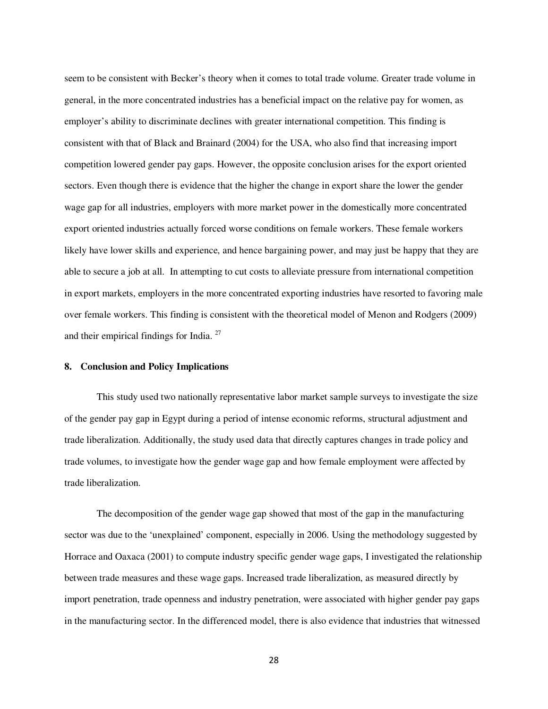seem to be consistent with Becker's theory when it comes to total trade volume. Greater trade volume in general, in the more concentrated industries has a beneficial impact on the relative pay for women, as employer's ability to discriminate declines with greater international competition. This finding is consistent with that of Black and Brainard (2004) for the USA, who also find that increasing import competition lowered gender pay gaps. However, the opposite conclusion arises for the export oriented sectors. Even though there is evidence that the higher the change in export share the lower the gender wage gap for all industries, employers with more market power in the domestically more concentrated export oriented industries actually forced worse conditions on female workers. These female workers likely have lower skills and experience, and hence bargaining power, and may just be happy that they are able to secure a job at all. In attempting to cut costs to alleviate pressure from international competition in export markets, employers in the more concentrated exporting industries have resorted to favoring male over female workers. This finding is consistent with the theoretical model of Menon and Rodgers (2009) and their empirical findings for India. <sup>27</sup>

## **8. Conclusion and Policy Implications**

This study used two nationally representative labor market sample surveys to investigate the size of the gender pay gap in Egypt during a period of intense economic reforms, structural adjustment and trade liberalization. Additionally, the study used data that directly captures changes in trade policy and trade volumes, to investigate how the gender wage gap and how female employment were affected by trade liberalization.

The decomposition of the gender wage gap showed that most of the gap in the manufacturing sector was due to the 'unexplained' component, especially in 2006. Using the methodology suggested by Horrace and Oaxaca (2001) to compute industry specific gender wage gaps, I investigated the relationship between trade measures and these wage gaps. Increased trade liberalization, as measured directly by import penetration, trade openness and industry penetration, were associated with higher gender pay gaps in the manufacturing sector. In the differenced model, there is also evidence that industries that witnessed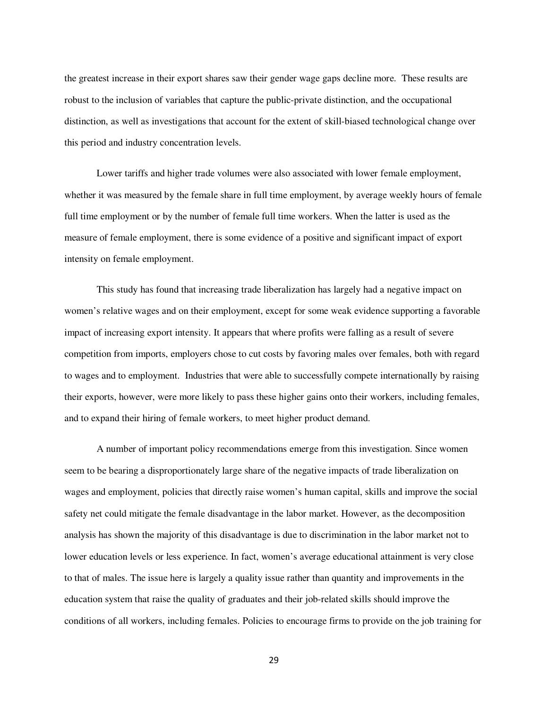the greatest increase in their export shares saw their gender wage gaps decline more. These results are robust to the inclusion of variables that capture the public-private distinction, and the occupational distinction, as well as investigations that account for the extent of skill-biased technological change over this period and industry concentration levels.

Lower tariffs and higher trade volumes were also associated with lower female employment, whether it was measured by the female share in full time employment, by average weekly hours of female full time employment or by the number of female full time workers. When the latter is used as the measure of female employment, there is some evidence of a positive and significant impact of export intensity on female employment.

This study has found that increasing trade liberalization has largely had a negative impact on women's relative wages and on their employment, except for some weak evidence supporting a favorable impact of increasing export intensity. It appears that where profits were falling as a result of severe competition from imports, employers chose to cut costs by favoring males over females, both with regard to wages and to employment. Industries that were able to successfully compete internationally by raising their exports, however, were more likely to pass these higher gains onto their workers, including females, and to expand their hiring of female workers, to meet higher product demand.

A number of important policy recommendations emerge from this investigation. Since women seem to be bearing a disproportionately large share of the negative impacts of trade liberalization on wages and employment, policies that directly raise women's human capital, skills and improve the social safety net could mitigate the female disadvantage in the labor market. However, as the decomposition analysis has shown the majority of this disadvantage is due to discrimination in the labor market not to lower education levels or less experience. In fact, women's average educational attainment is very close to that of males. The issue here is largely a quality issue rather than quantity and improvements in the education system that raise the quality of graduates and their job-related skills should improve the conditions of all workers, including females. Policies to encourage firms to provide on the job training for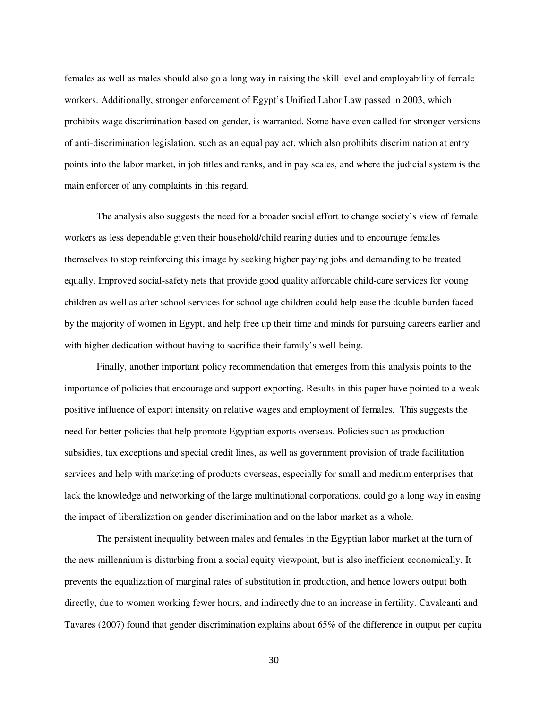females as well as males should also go a long way in raising the skill level and employability of female workers. Additionally, stronger enforcement of Egypt's Unified Labor Law passed in 2003, which prohibits wage discrimination based on gender, is warranted. Some have even called for stronger versions of anti-discrimination legislation, such as an equal pay act, which also prohibits discrimination at entry points into the labor market, in job titles and ranks, and in pay scales, and where the judicial system is the main enforcer of any complaints in this regard.

The analysis also suggests the need for a broader social effort to change society's view of female workers as less dependable given their household/child rearing duties and to encourage females themselves to stop reinforcing this image by seeking higher paying jobs and demanding to be treated equally. Improved social-safety nets that provide good quality affordable child-care services for young children as well as after school services for school age children could help ease the double burden faced by the majority of women in Egypt, and help free up their time and minds for pursuing careers earlier and with higher dedication without having to sacrifice their family's well-being.

Finally, another important policy recommendation that emerges from this analysis points to the importance of policies that encourage and support exporting. Results in this paper have pointed to a weak positive influence of export intensity on relative wages and employment of females. This suggests the need for better policies that help promote Egyptian exports overseas. Policies such as production subsidies, tax exceptions and special credit lines, as well as government provision of trade facilitation services and help with marketing of products overseas, especially for small and medium enterprises that lack the knowledge and networking of the large multinational corporations, could go a long way in easing the impact of liberalization on gender discrimination and on the labor market as a whole.

The persistent inequality between males and females in the Egyptian labor market at the turn of the new millennium is disturbing from a social equity viewpoint, but is also inefficient economically. It prevents the equalization of marginal rates of substitution in production, and hence lowers output both directly, due to women working fewer hours, and indirectly due to an increase in fertility. Cavalcanti and Tavares (2007) found that gender discrimination explains about 65% of the difference in output per capita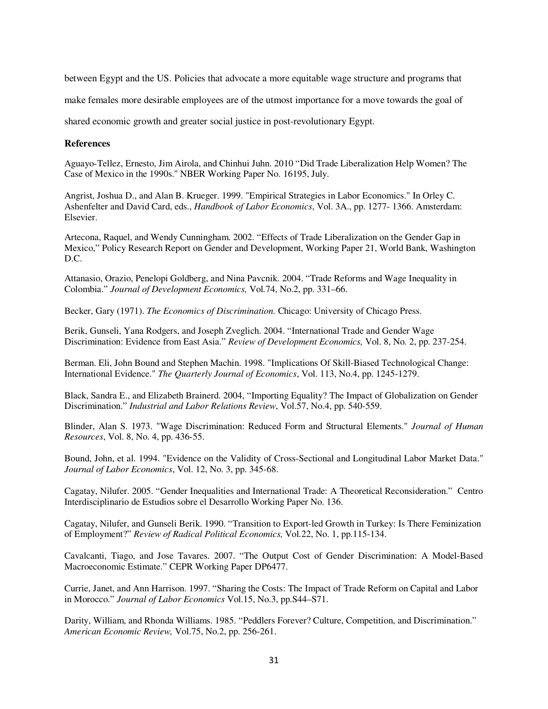between Egypt and the US. Policies that advocate a more equitable wage structure and programs that

make females more desirable employees are of the utmost importance for a move towards the goal of

shared economic growth and greater social justice in post-revolutionary Egypt.

# **References**

Aguayo-Tellez, Ernesto, Jim Airola, and Chinhui Juhn. 2010 "Did Trade Liberalization Help Women? The Case of Mexico in the 1990s.'' NBER Working Paper No. 16195, July.

Angrist, Joshua D., and Alan B. Krueger. 1999. "Empirical Strategies in Labor Economics." In Orley C. Ashenfelter and David Card, eds., *Handbook of Labor Economics*, Vol. 3A., pp. 1277- 1366. Amsterdam: Elsevier.

Artecona, Raquel, and Wendy Cunningham. 2002. "Effects of Trade Liberalization on the Gender Gap in Mexico," Policy Research Report on Gender and Development, Working Paper 21, World Bank, Washington D.C.

Attanasio, Orazio, Penelopi Goldberg, and Nina Pavcnik. 2004. "Trade Reforms and Wage Inequality in Colombia." *Journal of Development Economics,* Vol*.*74, No.2, pp. 331–66.

Becker, Gary (1971). *The Economics of Discrimination.* Chicago: University of Chicago Press.

Berik, Gunseli, Yana Rodgers, and Joseph Zveglich. 2004. "International Trade and Gender Wage Discrimination: Evidence from East Asia." *Review of Development Economics,* Vol. 8, No*.* 2, pp. 237-254.

Berman. Eli, John Bound and Stephen Machin. 1998. "Implications Of Skill-Biased Technological Change: International Evidence." *The Quarterly Journal of Economics*, Vol. 113, No.4, pp. 1245-1279.

Black, Sandra E., and Elizabeth Brainerd. 2004, "Importing Equality? The Impact of Globalization on Gender Discrimination." *Industrial and Labor Relations Review*, Vol.57, No.4, pp. 540-559.

Blinder, Alan S. 1973. "Wage Discrimination: Reduced Form and Structural Elements." *Journal of Human Resources*, Vol. 8, No. 4, pp. 436-55.

Bound, John, et al. 1994. "Evidence on the Validity of Cross-Sectional and Longitudinal Labor Market Data." *Journal of Labor Economics*, Vol. 12, No. 3, pp. 345-68.

Cagatay, Nilufer. 2005. "Gender Inequalities and International Trade: A Theoretical Reconsideration." Centro Interdisciplinario de Estudios sobre el Desarrollo Working Paper No. 136.

Cagatay, Nilufer, and Gunseli Berik. 1990. "Transition to Export-led Growth in Turkey: Is There Feminization of Employment?" *Review of Radical Political Economics,* Vol*.*22, No. 1, pp.115-134.

Cavalcanti, Tiago, and Jose Tavares. 2007. "The Output Cost of Gender Discrimination: A Model-Based Macroeconomic Estimate." CEPR Working Paper DP6477.

Currie, Janet, and Ann Harrison. 1997. "Sharing the Costs: The Impact of Trade Reform on Capital and Labor in Morocco." *Journal of Labor Economics* Vol.15, No.3, pp.S44–S71.

Darity, William, and Rhonda Williams. 1985. "Peddlers Forever? Culture, Competition, and Discrimination." *American Economic Review,* Vol.75, No.2, pp. 256-261.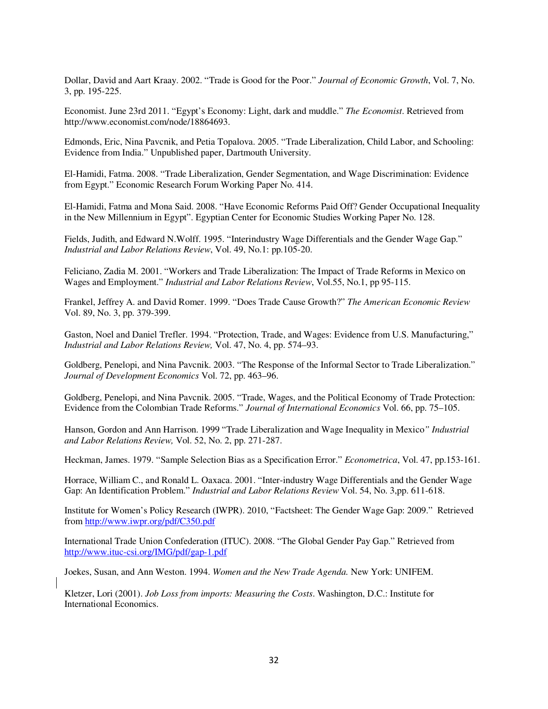Dollar, David and Aart Kraay. 2002. "Trade is Good for the Poor." *Journal of Economic Growth*, Vol. 7, No. 3, pp. 195-225.

Economist. June 23rd 2011. "Egypt's Economy: Light, dark and muddle." *The Economist*. Retrieved from http://www.economist.com/node/18864693.

Edmonds, Eric, Nina Pavcnik, and Petia Topalova. 2005. "Trade Liberalization, Child Labor, and Schooling: Evidence from India." Unpublished paper, Dartmouth University.

El-Hamidi, Fatma. 2008. "Trade Liberalization, Gender Segmentation, and Wage Discrimination: Evidence from Egypt." Economic Research Forum Working Paper No. 414.

El-Hamidi, Fatma and Mona Said. 2008. "Have Economic Reforms Paid Off? Gender Occupational Inequality in the New Millennium in Egypt". Egyptian Center for Economic Studies Working Paper No. 128.

Fields, Judith, and Edward N.Wolff. 1995. "Interindustry Wage Differentials and the Gender Wage Gap." *Industrial and Labor Relations Review*, Vol. 49, No.1: pp.105-20.

Feliciano, Zadia M. 2001. "Workers and Trade Liberalization: The Impact of Trade Reforms in Mexico on Wages and Employment." *Industrial and Labor Relations Review*, Vol.55, No.1, pp 95-115.

Frankel, Jeffrey A. and David Romer. 1999. "Does Trade Cause Growth?" *The American Economic Review*  Vol. 89, No. 3, pp. 379-399.

Gaston, Noel and Daniel Trefler. 1994. "Protection, Trade, and Wages: Evidence from U.S. Manufacturing," *Industrial and Labor Relations Review,* Vol. 47, No. 4, pp. 574–93.

Goldberg, Penelopi, and Nina Pavcnik. 2003. "The Response of the Informal Sector to Trade Liberalization." *Journal of Development Economics* Vol. 72, pp. 463–96.

Goldberg, Penelopi, and Nina Pavcnik. 2005. "Trade, Wages, and the Political Economy of Trade Protection: Evidence from the Colombian Trade Reforms." *Journal of International Economics* Vol. 66, pp. 75–105.

Hanson, Gordon and Ann Harrison. 1999 "Trade Liberalization and Wage Inequality in Mexico*" Industrial and Labor Relations Review,* Vol. 52, No. 2, pp. 271-287.

Heckman, James. 1979. "Sample Selection Bias as a Specification Error." *Econometrica*, Vol. 47, pp.153-161.

Horrace, William C., and Ronald L. Oaxaca. 2001. "Inter-industry Wage Differentials and the Gender Wage Gap: An Identification Problem." *Industrial and Labor Relations Review* Vol. 54, No. 3,pp. 611-618.

Institute for Women's Policy Research (IWPR). 2010, "Factsheet: The Gender Wage Gap: 2009." Retrieved from http://www.iwpr.org/pdf/C350.pdf

International Trade Union Confederation (ITUC). 2008. "The Global Gender Pay Gap." Retrieved from http://www.ituc-csi.org/IMG/pdf/gap-1.pdf

Joekes, Susan, and Ann Weston. 1994. *Women and the New Trade Agenda.* New York: UNIFEM.

Kletzer, Lori (2001). *Job Loss from imports: Measuring the Costs*. Washington, D.C.: Institute for International Economics.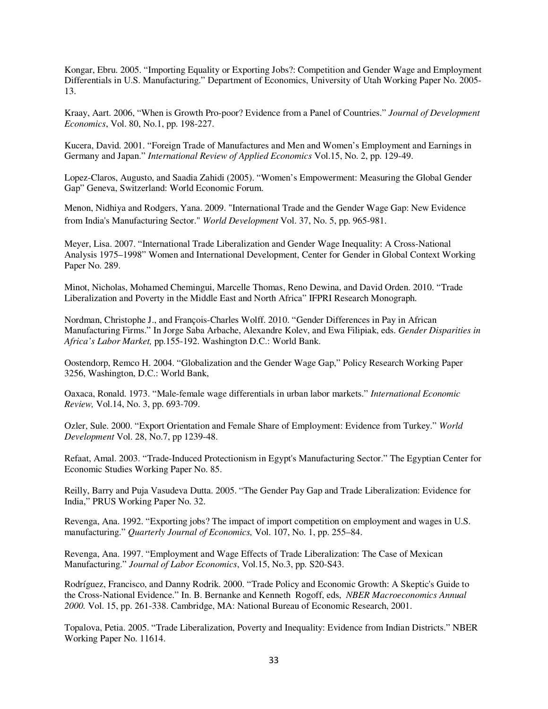Kongar, Ebru. 2005. "Importing Equality or Exporting Jobs?: Competition and Gender Wage and Employment Differentials in U.S. Manufacturing." Department of Economics, University of Utah Working Paper No. 2005- 13.

Kraay, Aart. 2006, "When is Growth Pro-poor? Evidence from a Panel of Countries." *Journal of Development Economics*, Vol. 80, No.1, pp. 198-227.

Kucera, David. 2001. "Foreign Trade of Manufactures and Men and Women's Employment and Earnings in Germany and Japan." *International Review of Applied Economics* Vol.15, No. 2, pp. 129-49.

Lopez-Claros, Augusto, and Saadia Zahidi (2005). "Women's Empowerment: Measuring the Global Gender Gap" Geneva, Switzerland: World Economic Forum.

Menon, Nidhiya and Rodgers, Yana. 2009. "International Trade and the Gender Wage Gap: New Evidence from India's Manufacturing Sector." *World Development* Vol. 37, No. 5, pp. 965-981.

Meyer, Lisa. 2007. "International Trade Liberalization and Gender Wage Inequality: A Cross-National Analysis 1975–1998" Women and International Development, Center for Gender in Global Context Working Paper No. 289.

Minot, Nicholas, Mohamed Chemingui, Marcelle Thomas, Reno Dewina, and David Orden. 2010. "Trade Liberalization and Poverty in the Middle East and North Africa" IFPRI Research Monograph.

Nordman, Christophe J., and François-Charles Wolff. 2010. "Gender Differences in Pay in African Manufacturing Firms." In Jorge Saba Arbache, Alexandre Kolev, and Ewa Filipiak, eds. *Gender Disparities in Africa's Labor Market,* pp.155-192. Washington D.C.: World Bank.

Oostendorp, Remco H. 2004. "Globalization and the Gender Wage Gap," Policy Research Working Paper 3256, Washington, D.C.: World Bank,

Oaxaca, Ronald. 1973. "Male-female wage differentials in urban labor markets." *International Economic Review,* Vol.14, No. 3, pp. 693-709.

Ozler, Sule. 2000. "Export Orientation and Female Share of Employment: Evidence from Turkey." *World Development* Vol. 28, No.7, pp 1239-48.

Refaat, Amal. 2003. "Trade-Induced Protectionism in Egypt's Manufacturing Sector." The Egyptian Center for Economic Studies Working Paper No. 85.

Reilly, Barry and Puja Vasudeva Dutta. 2005. "The Gender Pay Gap and Trade Liberalization: Evidence for India," PRUS Working Paper No. 32.

Revenga, Ana. 1992. "Exporting jobs? The impact of import competition on employment and wages in U.S. manufacturing." *Quarterly Journal of Economics,* Vol. 107, No. 1, pp. 255–84.

Revenga, Ana. 1997. "Employment and Wage Effects of Trade Liberalization: The Case of Mexican Manufacturing." *Journal of Labor Economics*, Vol.15, No.3, pp. S20-S43.

Rodríguez, Francisco, and Danny Rodrik. 2000. "Trade Policy and Economic Growth: A Skeptic's Guide to the Cross-National Evidence." In. B. Bernanke and Kenneth Rogoff, eds, *NBER Macroeconomics Annual 2000.* Vol. 15, pp. 261-338. Cambridge, MA: National Bureau of Economic Research, 2001.

Topalova, Petia. 2005. "Trade Liberalization, Poverty and Inequality: Evidence from Indian Districts." NBER Working Paper No. 11614.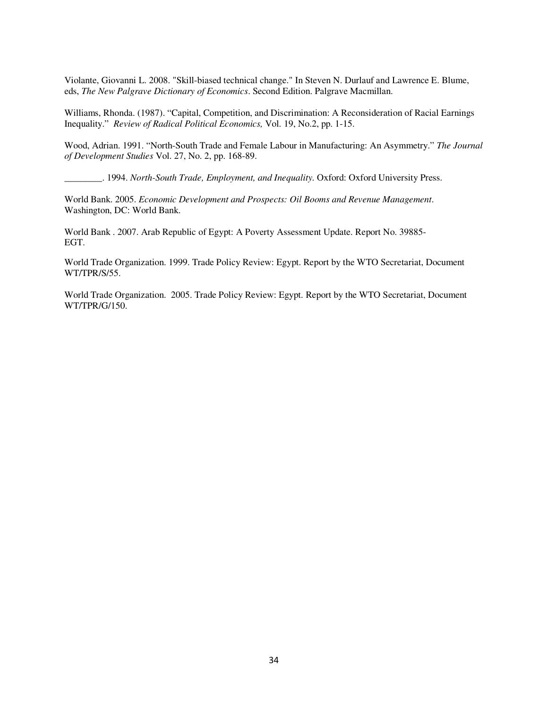Violante, Giovanni L. 2008. "Skill-biased technical change." In Steven N. Durlauf and Lawrence E. Blume, eds, *The New Palgrave Dictionary of Economics*. Second Edition. Palgrave Macmillan.

Williams, Rhonda. (1987). "Capital, Competition, and Discrimination: A Reconsideration of Racial Earnings Inequality." *Review of Radical Political Economics,* Vol. 19, No.2, pp. 1-15.

Wood, Adrian. 1991. "North-South Trade and Female Labour in Manufacturing: An Asymmetry." *The Journal of Development Studies* Vol. 27, No. 2, pp. 168-89.

\_\_\_\_\_\_\_\_. 1994. *North-South Trade, Employment, and Inequality.* Oxford: Oxford University Press.

World Bank. 2005. *Economic Development and Prospects: Oil Booms and Revenue Management*. Washington, DC: World Bank.

World Bank . 2007. Arab Republic of Egypt: A Poverty Assessment Update. Report No. 39885- EGT.

World Trade Organization. 1999. Trade Policy Review: Egypt. Report by the WTO Secretariat, Document WT/TPR/S/55.

World Trade Organization. 2005. Trade Policy Review: Egypt. Report by the WTO Secretariat, Document WT/TPR/G/150.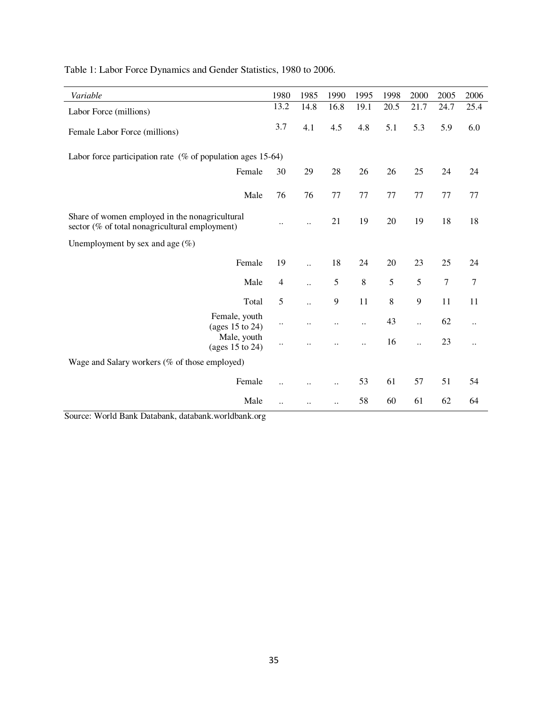| Variable                                                                                         | 1980                 | 1985                 | 1990                 | 1995                 | 1998    | 2000                 | 2005             | 2006                 |
|--------------------------------------------------------------------------------------------------|----------------------|----------------------|----------------------|----------------------|---------|----------------------|------------------|----------------------|
| Labor Force (millions)                                                                           | 13.2                 | 14.8                 | 16.8                 | 19.1                 | 20.5    | 21.7                 | 24.7             | 25.4                 |
| Female Labor Force (millions)                                                                    | 3.7                  | 4.1                  | 4.5                  | 4.8                  | 5.1     | 5.3                  | 5.9              | 6.0                  |
| Labor force participation rate $(\%$ of population ages 15-64)                                   |                      |                      |                      |                      |         |                      |                  |                      |
| Female                                                                                           | 30                   | 29                   | 28                   | 26                   | 26      | 25                   | 24               | 24                   |
| Male                                                                                             | 76                   | 76                   | 77                   | 77                   | 77      | 77                   | 77               | 77                   |
| Share of women employed in the nonagricultural<br>sector (% of total nonagricultural employment) |                      |                      | 21                   | 19                   | 20      | 19                   | 18               | 18                   |
| Unemployment by sex and age $(\%)$                                                               |                      |                      |                      |                      |         |                      |                  |                      |
| Female                                                                                           | 19                   | $\ddot{\phantom{a}}$ | 18                   | 24                   | 20      | 23                   | 25               | 24                   |
| Male                                                                                             | $\overline{4}$       | $\ddot{\phantom{a}}$ | $\mathfrak s$        | $\,8\,$              | 5       | 5                    | $\boldsymbol{7}$ | $\boldsymbol{7}$     |
| Total                                                                                            | 5                    | $\ddot{\phantom{a}}$ | 9                    | 11                   | $\,8\,$ | 9                    | 11               | 11                   |
| Female, youth<br>(ages 15 to 24)                                                                 | $\ddotsc$            |                      | $\ddot{\phantom{0}}$ | $\ddot{\phantom{a}}$ | 43      | $\ddot{\phantom{a}}$ | 62               | $\ddot{\phantom{0}}$ |
| Male, youth<br>(ages 15 to 24)                                                                   |                      |                      |                      | $\ddot{\phantom{a}}$ | 16      | $\ddot{\phantom{a}}$ | 23               | $\ddot{\phantom{0}}$ |
| Wage and Salary workers (% of those employed)                                                    |                      |                      |                      |                      |         |                      |                  |                      |
| Female                                                                                           | $\ddot{\phantom{a}}$ |                      | $\ddot{\phantom{0}}$ | 53                   | 61      | 57                   | 51               | 54                   |
| Male                                                                                             | $\ddot{\phantom{a}}$ | $\ddotsc$            | $\ddot{\phantom{a}}$ | 58                   | 60      | 61                   | 62               | 64                   |

Table 1: Labor Force Dynamics and Gender Statistics, 1980 to 2006.

Source: World Bank Databank, databank.worldbank.org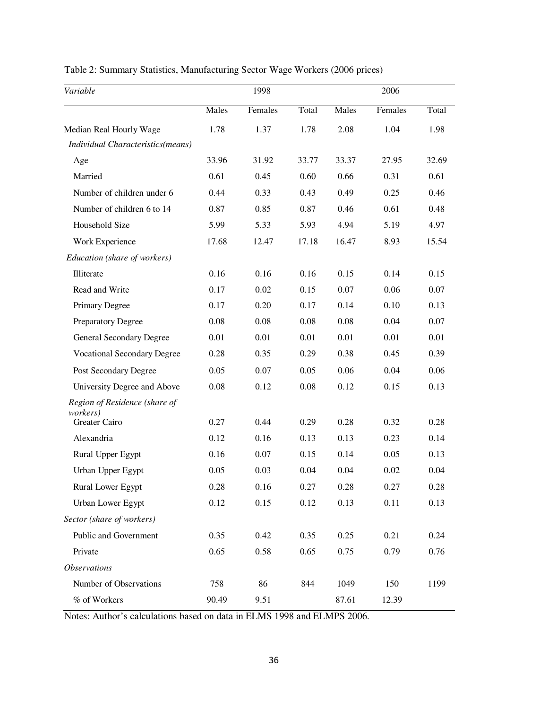| Table 2: Summary Statistics, Manufacturing Sector Wage Workers (2006 prices) |  |  |  |  |
|------------------------------------------------------------------------------|--|--|--|--|
|                                                                              |  |  |  |  |

| Variable                           | 1998  |         |       | 2006  |         |       |
|------------------------------------|-------|---------|-------|-------|---------|-------|
|                                    | Males | Females | Total | Males | Females | Total |
| Median Real Hourly Wage            | 1.78  | 1.37    | 1.78  | 2.08  | 1.04    | 1.98  |
| Individual Characteristics(means)  |       |         |       |       |         |       |
| Age                                | 33.96 | 31.92   | 33.77 | 33.37 | 27.95   | 32.69 |
| Married                            | 0.61  | 0.45    | 0.60  | 0.66  | 0.31    | 0.61  |
| Number of children under 6         | 0.44  | 0.33    | 0.43  | 0.49  | 0.25    | 0.46  |
| Number of children 6 to 14         | 0.87  | 0.85    | 0.87  | 0.46  | 0.61    | 0.48  |
| Household Size                     | 5.99  | 5.33    | 5.93  | 4.94  | 5.19    | 4.97  |
| Work Experience                    | 17.68 | 12.47   | 17.18 | 16.47 | 8.93    | 15.54 |
| Education (share of workers)       |       |         |       |       |         |       |
| Illiterate                         | 0.16  | 0.16    | 0.16  | 0.15  | 0.14    | 0.15  |
| Read and Write                     | 0.17  | 0.02    | 0.15  | 0.07  | 0.06    | 0.07  |
| Primary Degree                     | 0.17  | 0.20    | 0.17  | 0.14  | 0.10    | 0.13  |
| Preparatory Degree                 | 0.08  | 0.08    | 0.08  | 0.08  | 0.04    | 0.07  |
| General Secondary Degree           | 0.01  | 0.01    | 0.01  | 0.01  | 0.01    | 0.01  |
| <b>Vocational Secondary Degree</b> | 0.28  | 0.35    | 0.29  | 0.38  | 0.45    | 0.39  |
| Post Secondary Degree              | 0.05  | 0.07    | 0.05  | 0.06  | 0.04    | 0.06  |
| University Degree and Above        | 0.08  | 0.12    | 0.08  | 0.12  | 0.15    | 0.13  |
| Region of Residence (share of      |       |         |       |       |         |       |
| <i>workers</i> )<br>Greater Cairo  | 0.27  | 0.44    | 0.29  | 0.28  | 0.32    | 0.28  |
| Alexandria                         | 0.12  | 0.16    | 0.13  | 0.13  | 0.23    | 0.14  |
| Rural Upper Egypt                  | 0.16  | 0.07    | 0.15  | 0.14  | 0.05    | 0.13  |
| Urban Upper Egypt                  | 0.05  | 0.03    | 0.04  | 0.04  | 0.02    | 0.04  |
| Rural Lower Egypt                  | 0.28  | 0.16    | 0.27  | 0.28  | 0.27    | 0.28  |
| Urban Lower Egypt                  | 0.12  | 0.15    | 0.12  | 0.13  | 0.11    | 0.13  |
| Sector (share of workers)          |       |         |       |       |         |       |
| Public and Government              | 0.35  | 0.42    | 0.35  | 0.25  | 0.21    | 0.24  |
| Private                            | 0.65  | 0.58    | 0.65  | 0.75  | 0.79    | 0.76  |
| <b>Observations</b>                |       |         |       |       |         |       |
| Number of Observations             | 758   | 86      | 844   | 1049  | 150     | 1199  |
| % of Workers                       | 90.49 | 9.51    |       | 87.61 | 12.39   |       |

Notes: Author's calculations based on data in ELMS 1998 and ELMPS 2006.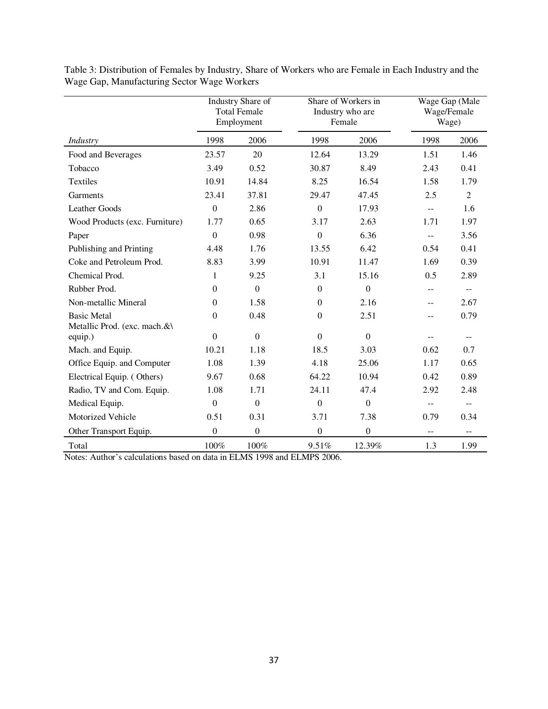|                                                    |                  | Industry Share of<br><b>Total Female</b><br>Employment | Share of Workers in<br>Industry who are<br>Female |              | Wage Gap (Male<br>Wage/Female<br>Wage) |                          |
|----------------------------------------------------|------------------|--------------------------------------------------------|---------------------------------------------------|--------------|----------------------------------------|--------------------------|
| Industry                                           | 1998             | 2006                                                   | 1998                                              | 2006         | 1998                                   | 2006                     |
| Food and Beverages                                 | 23.57            | 20                                                     | 12.64                                             | 13.29        | 1.51                                   | 1.46                     |
| Tobacco                                            | 3.49             | 0.52                                                   | 30.87                                             | 8.49         | 2.43                                   | 0.41                     |
| Textiles                                           | 10.91            | 14.84                                                  | 8.25                                              | 16.54        | 1.58                                   | 1.79                     |
| Garments                                           | 23.41            | 37.81                                                  | 29.47                                             | 47.45        | 2.5                                    | $\overline{2}$           |
| <b>Leather Goods</b>                               | $\mathbf{0}$     | 2.86                                                   | $\mathbf{0}$                                      | 17.93        | $- -$                                  | 1.6                      |
| Wood Products (exc. Furniture)                     | 1.77             | 0.65                                                   | 3.17                                              | 2.63         | 1.71                                   | 1.97                     |
| Paper                                              | $\Omega$         | 0.98                                                   | $\Omega$                                          | 6.36         | --                                     | 3.56                     |
| Publishing and Printing                            | 4.48             | 1.76                                                   | 13.55                                             | 6.42         | 0.54                                   | 0.41                     |
| Coke and Petroleum Prod.                           | 8.83             | 3.99                                                   | 10.91                                             | 11.47        | 1.69                                   | 0.39                     |
| Chemical Prod.                                     | $\mathbf{1}$     | 9.25                                                   | 3.1                                               | 15.16        | 0.5                                    | 2.89                     |
| Rubber Prod.                                       | $\mathbf{0}$     | $\Omega$                                               | $\Omega$                                          | $\mathbf{0}$ | --                                     | $\overline{\phantom{m}}$ |
| Non-metallic Mineral                               | $\boldsymbol{0}$ | 1.58                                                   | $\mathbf{0}$                                      | 2.16         | $-$                                    | 2.67                     |
| <b>Basic Metal</b><br>Metallic Prod. (exc. mach.&\ | $\mathbf{0}$     | 0.48                                                   | $\boldsymbol{0}$                                  | 2.51         | $\overline{\phantom{m}}$               | 0.79                     |
| equip.)                                            | $\mathbf{0}$     | $\mathbf{0}$                                           | $\Omega$                                          | $\mathbf{0}$ | --                                     | $\overline{\phantom{m}}$ |
| Mach. and Equip.                                   | 10.21            | 1.18                                                   | 18.5                                              | 3.03         | 0.62                                   | 0.7                      |
| Office Equip. and Computer                         | 1.08             | 1.39                                                   | 4.18                                              | 25.06        | 1.17                                   | 0.65                     |
| Electrical Equip. (Others)                         | 9.67             | 0.68                                                   | 64.22                                             | 10.94        | 0.42                                   | 0.89                     |
| Radio, TV and Com. Equip.                          | 1.08             | 1.71                                                   | 24.11                                             | 47.4         | 2.92                                   | 2.48                     |
| Medical Equip.                                     | $\mathbf{0}$     | $\mathbf{0}$                                           | $\mathbf{0}$                                      | $\mathbf{0}$ | --                                     |                          |
| Motorized Vehicle                                  | 0.51             | 0.31                                                   | 3.71                                              | 7.38         | 0.79                                   | 0.34                     |
| Other Transport Equip.                             | $\boldsymbol{0}$ | $\mathbf{0}$                                           | $\mathbf{0}$                                      | $\mathbf{0}$ | $-$                                    | --                       |
| Total                                              | 100%             | 100%                                                   | 9.51%                                             | 12.39%       | 1.3                                    | 1.99                     |

Table 3: Distribution of Females by Industry, Share of Workers who are Female in Each Industry and the Wage Gap, Manufacturing Sector Wage Workers

Notes: Author's calculations based on data in ELMS 1998 and ELMPS 2006.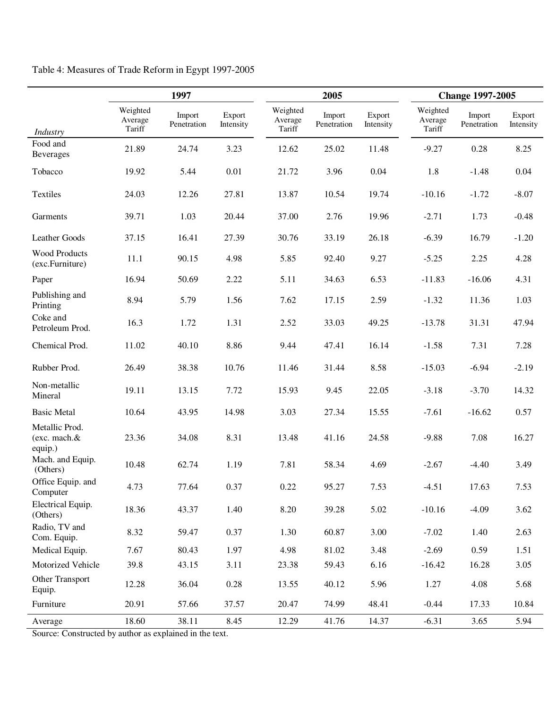|                                           | 1997                          |                       |                     |                               | 2005                  |                     |                               | <b>Change 1997-2005</b> |                     |  |
|-------------------------------------------|-------------------------------|-----------------------|---------------------|-------------------------------|-----------------------|---------------------|-------------------------------|-------------------------|---------------------|--|
| Industry                                  | Weighted<br>Average<br>Tariff | Import<br>Penetration | Export<br>Intensity | Weighted<br>Average<br>Tariff | Import<br>Penetration | Export<br>Intensity | Weighted<br>Average<br>Tariff | Import<br>Penetration   | Export<br>Intensity |  |
| Food and<br>Beverages                     | 21.89                         | 24.74                 | 3.23                | 12.62                         | 25.02                 | 11.48               | $-9.27$                       | 0.28                    | 8.25                |  |
| Tobacco                                   | 19.92                         | 5.44                  | 0.01                | 21.72                         | 3.96                  | 0.04                | 1.8                           | $-1.48$                 | 0.04                |  |
| Textiles                                  | 24.03                         | 12.26                 | 27.81               | 13.87                         | 10.54                 | 19.74               | $-10.16$                      | $-1.72$                 | $-8.07$             |  |
| Garments                                  | 39.71                         | 1.03                  | 20.44               | 37.00                         | 2.76                  | 19.96               | $-2.71$                       | 1.73                    | $-0.48$             |  |
| Leather Goods                             | 37.15                         | 16.41                 | 27.39               | 30.76                         | 33.19                 | 26.18               | $-6.39$                       | 16.79                   | $-1.20$             |  |
| <b>Wood Products</b><br>(exc.Furniture)   | 11.1                          | 90.15                 | 4.98                | 5.85                          | 92.40                 | 9.27                | $-5.25$                       | 2.25                    | 4.28                |  |
| Paper                                     | 16.94                         | 50.69                 | 2.22                | 5.11                          | 34.63                 | 6.53                | $-11.83$                      | $-16.06$                | 4.31                |  |
| Publishing and<br>Printing                | 8.94                          | 5.79                  | 1.56                | 7.62                          | 17.15                 | 2.59                | $-1.32$                       | 11.36                   | 1.03                |  |
| Coke and<br>Petroleum Prod.               | 16.3                          | 1.72                  | 1.31                | 2.52                          | 33.03                 | 49.25               | $-13.78$                      | 31.31                   | 47.94               |  |
| Chemical Prod.                            | 11.02                         | 40.10                 | 8.86                | 9.44                          | 47.41                 | 16.14               | $-1.58$                       | 7.31                    | 7.28                |  |
| Rubber Prod.                              | 26.49                         | 38.38                 | 10.76               | 11.46                         | 31.44                 | 8.58                | $-15.03$                      | $-6.94$                 | $-2.19$             |  |
| Non-metallic<br>Mineral                   | 19.11                         | 13.15                 | 7.72                | 15.93                         | 9.45                  | 22.05               | $-3.18$                       | $-3.70$                 | 14.32               |  |
| <b>Basic Metal</b>                        | 10.64                         | 43.95                 | 14.98               | 3.03                          | 27.34                 | 15.55               | $-7.61$                       | $-16.62$                | 0.57                |  |
| Metallic Prod.<br>(exc. mach.&<br>equip.) | 23.36                         | 34.08                 | 8.31                | 13.48                         | 41.16                 | 24.58               | $-9.88$                       | 7.08                    | 16.27               |  |
| Mach. and Equip.<br>(Others)              | 10.48                         | 62.74                 | 1.19                | 7.81                          | 58.34                 | 4.69                | $-2.67$                       | $-4.40$                 | 3.49                |  |
| Office Equip. and<br>Computer             | 4.73                          | 77.64                 | 0.37                | 0.22                          | 95.27                 | 7.53                | $-4.51$                       | 17.63                   | 7.53                |  |
| Electrical Equip.<br>(Others)             | 18.36                         | 43.37                 | 1.40                | 8.20                          | 39.28                 | 5.02                | $-10.16$                      | $-4.09$                 | 3.62                |  |
| Radio, TV and<br>Com. Equip.              | 8.32                          | 59.47                 | 0.37                | 1.30                          | 60.87                 | 3.00                | $-7.02$                       | 1.40                    | 2.63                |  |
| Medical Equip.                            | 7.67                          | 80.43                 | 1.97                | 4.98                          | 81.02                 | 3.48                | $-2.69$                       | 0.59                    | 1.51                |  |
| Motorized Vehicle                         | 39.8                          | 43.15                 | 3.11                | 23.38                         | 59.43                 | 6.16                | $-16.42$                      | 16.28                   | 3.05                |  |
| Other Transport<br>Equip.                 | 12.28                         | 36.04                 | 0.28                | 13.55                         | 40.12                 | 5.96                | 1.27                          | 4.08                    | 5.68                |  |
| Furniture                                 | 20.91                         | 57.66                 | 37.57               | 20.47                         | 74.99                 | 48.41               | $-0.44$                       | 17.33                   | 10.84               |  |
| Average                                   | 18.60                         | 38.11                 | 8.45                | 12.29                         | 41.76                 | 14.37               | $-6.31$                       | 3.65                    | 5.94                |  |

Table 4: Measures of Trade Reform in Egypt 1997-2005

Source: Constructed by author as explained in the text.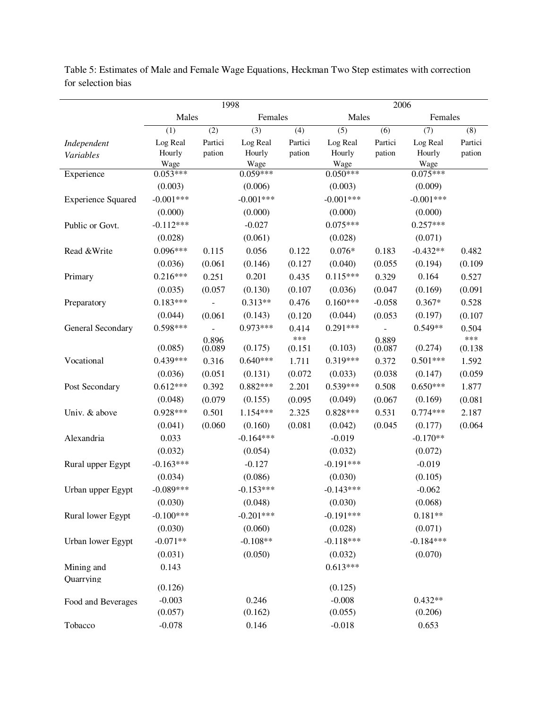|                           | 1998                   |                  |                        | $\overline{2006}$ |                        |                  |                    |                  |
|---------------------------|------------------------|------------------|------------------------|-------------------|------------------------|------------------|--------------------|------------------|
|                           | Males                  |                  | Females                |                   | Males                  |                  | Females            |                  |
|                           | (1)                    | $\overline{(2)}$ | $\overline{(3)}$       | $\overline{(4)}$  | $\overline{(5)}$       | $\overline{(6)}$ | $\overline{(7)}$   | $\overline{(8)}$ |
| Independent               | Log Real               | Partici          | Log Real               | Partici           | Log Real               | Partici          | Log Real           | Partici          |
| Variables                 | Hourly                 | pation           | Hourly                 | pation            | Hourly                 | pation           | Hourly             | pation           |
| Experience                | Wage<br>$0.053***$     |                  | Wage<br>$0.059***$     |                   | Wage<br>$0.050***$     |                  | Wage<br>$0.075***$ |                  |
|                           | (0.003)                |                  | (0.006)                |                   | (0.003)                |                  | (0.009)            |                  |
| <b>Experience Squared</b> | $-0.001***$            |                  | $-0.001***$            |                   | $-0.001***$            |                  | $-0.001***$        |                  |
|                           | (0.000)                |                  | (0.000)                |                   | (0.000)                |                  | (0.000)            |                  |
| Public or Govt.           | $-0.112***$            |                  | $-0.027$               |                   | $0.075***$             |                  | $0.257***$         |                  |
|                           | (0.028)                |                  | (0.061)                |                   | (0.028)                |                  | (0.071)            |                  |
| Read &Write               | $0.096***$             | 0.115            | 0.056                  | 0.122             | $0.076*$               | 0.183            | $-0.432**$         | 0.482            |
|                           | (0.036)                | (0.061)          | (0.146)                | (0.127)           | (0.040)                | (0.055)          | (0.194)            | (0.109)          |
| Primary                   | $0.216***$             | 0.251            | 0.201                  | 0.435             | $0.115***$             | 0.329            | 0.164              | 0.527            |
|                           | (0.035)                | (0.057)          | (0.130)                | (0.107)           | (0.036)                | (0.047)          | (0.169)            | (0.091)          |
| Preparatory               | $0.183***$             |                  | $0.313**$              | 0.476             | $0.160***$             | $-0.058$         | $0.367*$           | 0.528            |
|                           | (0.044)                | (0.061)          | (0.143)                | (0.120)           | (0.044)                | (0.053)          | (0.197)            | (0.107)          |
| General Secondary         | $0.598***$             |                  | $0.973***$             | 0.414             | $0.291***$             |                  | $0.549**$          | 0.504            |
|                           |                        | 0.896            |                        | ***               |                        | 0.889            |                    | ***              |
|                           | (0.085)                | (0.089)          | (0.175)                | (0.151)           | (0.103)                | (0.087)          | (0.274)            | (0.138)          |
| Vocational                | $0.439***$             | 0.316            | $0.640***$             | 1.711             | $0.319***$             | 0.372            | $0.501***$         | 1.592            |
|                           | (0.036)                | (0.051)          | (0.131)                | (0.072)           | (0.033)                | (0.038)          | (0.147)            | (0.059)          |
| Post Secondary            | $0.612***$             | 0.392            | $0.882***$             | 2.201             | $0.539***$             | 0.508            | $0.650***$         | 1.877            |
|                           | (0.048)                | (0.079)          | (0.155)                | (0.095)           | (0.049)                | (0.067)          | (0.169)            | (0.081)          |
| Univ. & above             | $0.928***$             | 0.501            | $1.154***$             | 2.325             | $0.828***$             | 0.531            | $0.774***$         | 2.187            |
|                           | (0.041)                | (0.060)          | (0.160)                | (0.081)           | (0.042)                | (0.045)          | (0.177)            | (0.064)          |
| Alexandria                | 0.033                  |                  | $-0.164***$            |                   | $-0.019$               |                  | $-0.170**$         |                  |
|                           | (0.032)                |                  | (0.054)                |                   | (0.032)                |                  | (0.072)            |                  |
| Rural upper Egypt         | $-0.163***$            |                  | $-0.127$               |                   | $-0.191***$            |                  | $-0.019$           |                  |
|                           | (0.034)<br>$-0.089***$ |                  | (0.086)                |                   | (0.030)<br>$-0.143***$ |                  | (0.105)            |                  |
| Urban upper Egypt         |                        |                  | $-0.153***$            |                   |                        |                  | $-0.062$           |                  |
|                           | (0.030)<br>$-0.100***$ |                  | (0.048)<br>$-0.201***$ |                   | (0.030)<br>$-0.191***$ |                  | (0.068)            |                  |
| Rural lower Egypt         |                        |                  | (0.060)                |                   |                        |                  | $0.181**$          |                  |
|                           | (0.030)<br>$-0.071**$  |                  |                        |                   | (0.028)<br>$-0.118***$ |                  | (0.071)            |                  |
| Urban lower Egypt         |                        |                  | $-0.108**$             |                   |                        |                  | $-0.184***$        |                  |
|                           | (0.031)                |                  | (0.050)                |                   | (0.032)<br>$0.613***$  |                  | (0.070)            |                  |
| Mining and<br>Quarrying   | 0.143                  |                  |                        |                   |                        |                  |                    |                  |
|                           | (0.126)                |                  |                        |                   | (0.125)                |                  |                    |                  |
| Food and Beverages        | $-0.003$               |                  | 0.246                  |                   | $-0.008$               |                  | $0.432**$          |                  |
|                           | (0.057)                |                  | (0.162)                |                   | (0.055)                |                  | (0.206)            |                  |
| Tobacco                   | $-0.078$               |                  | 0.146                  |                   | $-0.018$               |                  | 0.653              |                  |

Table 5: Estimates of Male and Female Wage Equations, Heckman Two Step estimates with correction for selection bias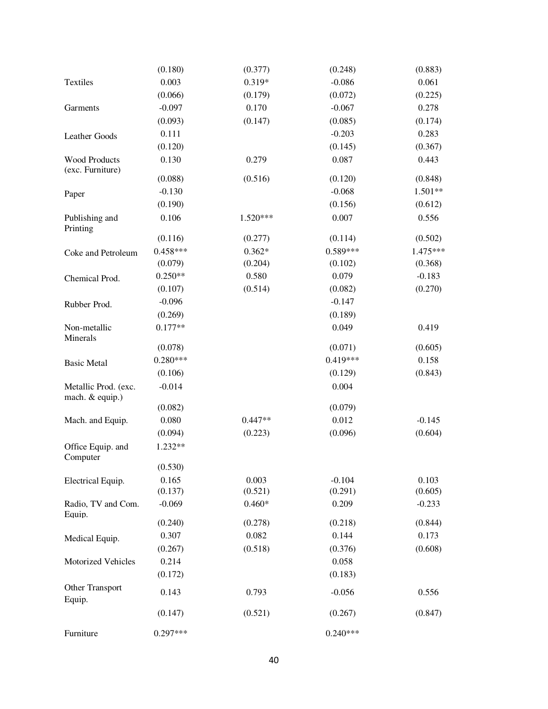|                                         | (0.180)    | (0.377)    | (0.248)    | (0.883)   |
|-----------------------------------------|------------|------------|------------|-----------|
| Textiles                                | 0.003      | 0.319*     | $-0.086$   | 0.061     |
|                                         | (0.066)    | (0.179)    | (0.072)    | (0.225)   |
| Garments                                | $-0.097$   | 0.170      | $-0.067$   | 0.278     |
|                                         | (0.093)    | (0.147)    | (0.085)    | (0.174)   |
| Leather Goods                           | 0.111      |            | $-0.203$   | 0.283     |
|                                         | (0.120)    |            | (0.145)    | (0.367)   |
| Wood Products<br>(exc. Furniture)       | 0.130      | 0.279      | 0.087      | 0.443     |
|                                         | (0.088)    | (0.516)    | (0.120)    | (0.848)   |
| Paper                                   | $-0.130$   |            | $-0.068$   | $1.501**$ |
|                                         | (0.190)    |            | (0.156)    | (0.612)   |
| Publishing and<br>Printing              | 0.106      | $1.520***$ | 0.007      | 0.556     |
|                                         | (0.116)    | (0.277)    | (0.114)    | (0.502)   |
| Coke and Petroleum                      | $0.458***$ | $0.362*$   | $0.589***$ | 1.475***  |
|                                         | (0.079)    | (0.204)    | (0.102)    | (0.368)   |
| Chemical Prod.                          | $0.250**$  | 0.580      | 0.079      | $-0.183$  |
|                                         | (0.107)    | (0.514)    | (0.082)    | (0.270)   |
| Rubber Prod.                            | $-0.096$   |            | $-0.147$   |           |
|                                         | (0.269)    |            | (0.189)    |           |
| Non-metallic<br>Minerals                | $0.177**$  |            | 0.049      | 0.419     |
|                                         | (0.078)    |            | (0.071)    | (0.605)   |
| <b>Basic Metal</b>                      | $0.280***$ |            | $0.419***$ | 0.158     |
|                                         | (0.106)    |            | (0.129)    | (0.843)   |
| Metallic Prod. (exc.<br>mach. & equip.) | $-0.014$   |            | 0.004      |           |
|                                         | (0.082)    |            | (0.079)    |           |
| Mach. and Equip.                        | 0.080      | $0.447**$  | 0.012      | $-0.145$  |
|                                         | (0.094)    | (0.223)    | (0.096)    | (0.604)   |
| Office Equip. and<br>Computer           | 1.232**    |            |            |           |
|                                         | (0.530)    |            |            |           |
| Electrical Equip.                       | 0.165      | 0.003      | $-0.104$   | 0.103     |
|                                         | (0.137)    | (0.521)    | (0.291)    | (0.605)   |
| Radio, TV and Com.<br>Equip.            | $-0.069$   | $0.460*$   | 0.209      | $-0.233$  |
|                                         | (0.240)    | (0.278)    | (0.218)    | (0.844)   |
| Medical Equip.                          | 0.307      | 0.082      | 0.144      | 0.173     |
|                                         | (0.267)    | (0.518)    | (0.376)    | (0.608)   |
| Motorized Vehicles                      | 0.214      |            | 0.058      |           |
|                                         | (0.172)    |            | (0.183)    |           |
| Other Transport<br>Equip.               | 0.143      | 0.793      | $-0.056$   | 0.556     |
|                                         | (0.147)    | (0.521)    | (0.267)    | (0.847)   |
| Furniture                               | $0.297***$ |            | $0.240***$ |           |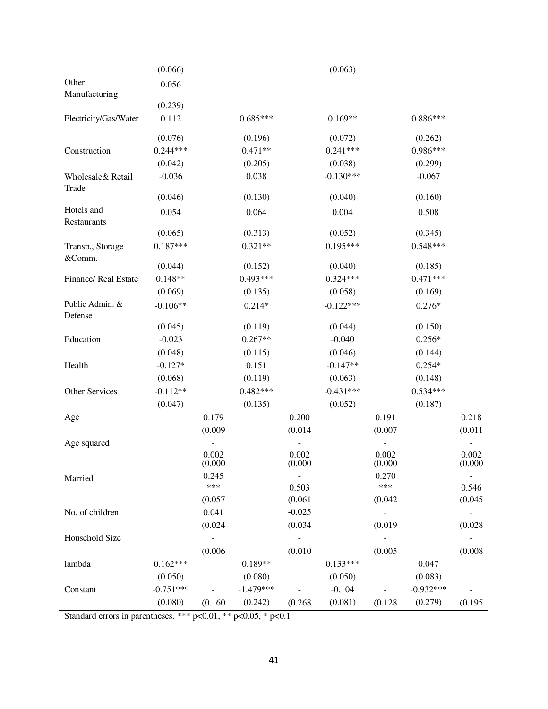|                                                                        | (0.066)     |                  |             |                  | (0.063)     |                  |             |                  |
|------------------------------------------------------------------------|-------------|------------------|-------------|------------------|-------------|------------------|-------------|------------------|
| Other<br>Manufacturing                                                 | 0.056       |                  |             |                  |             |                  |             |                  |
|                                                                        | (0.239)     |                  |             |                  |             |                  |             |                  |
| Electricity/Gas/Water                                                  | 0.112       |                  | $0.685***$  |                  | $0.169**$   |                  | $0.886***$  |                  |
|                                                                        | (0.076)     |                  | (0.196)     |                  | (0.072)     |                  | (0.262)     |                  |
| Construction                                                           | $0.244***$  |                  | $0.471**$   |                  | $0.241***$  |                  | 0.986***    |                  |
|                                                                        | (0.042)     |                  | (0.205)     |                  | (0.038)     |                  | (0.299)     |                  |
| Wholesale& Retail<br>Trade                                             | $-0.036$    |                  | 0.038       |                  | $-0.130***$ |                  | $-0.067$    |                  |
|                                                                        | (0.046)     |                  | (0.130)     |                  | (0.040)     |                  | (0.160)     |                  |
| Hotels and<br>Restaurants                                              | 0.054       |                  | 0.064       |                  | 0.004       |                  | 0.508       |                  |
|                                                                        | (0.065)     |                  | (0.313)     |                  | (0.052)     |                  | (0.345)     |                  |
| Transp., Storage<br>&Comm.                                             | $0.187***$  |                  | $0.321**$   |                  | $0.195***$  |                  | $0.548***$  |                  |
|                                                                        | (0.044)     |                  | (0.152)     |                  | (0.040)     |                  | (0.185)     |                  |
| Finance/ Real Estate                                                   | $0.148**$   |                  | 0.493***    |                  | $0.324***$  |                  | $0.471***$  |                  |
|                                                                        | (0.069)     |                  | (0.135)     |                  | (0.058)     |                  | (0.169)     |                  |
| Public Admin. &<br>Defense                                             | $-0.106**$  |                  | $0.214*$    |                  | $-0.122***$ |                  | $0.276*$    |                  |
|                                                                        | (0.045)     |                  | (0.119)     |                  | (0.044)     |                  | (0.150)     |                  |
| Education                                                              | $-0.023$    |                  | $0.267**$   |                  | $-0.040$    |                  | $0.256*$    |                  |
|                                                                        | (0.048)     |                  | (0.115)     |                  | (0.046)     |                  | (0.144)     |                  |
| Health                                                                 | $-0.127*$   |                  | 0.151       |                  | $-0.147**$  |                  | $0.254*$    |                  |
|                                                                        | (0.068)     |                  | (0.119)     |                  | (0.063)     |                  | (0.148)     |                  |
| Other Services                                                         | $-0.112**$  |                  | $0.482***$  |                  | $-0.431***$ |                  | $0.534***$  |                  |
|                                                                        | (0.047)     |                  | (0.135)     |                  | (0.052)     |                  | (0.187)     |                  |
| Age                                                                    |             | 0.179            |             | 0.200            |             | 0.191            |             | 0.218            |
|                                                                        |             | (0.009)          |             | (0.014)          |             | (0.007)          |             | (0.011)          |
| Age squared                                                            |             |                  |             |                  |             |                  |             |                  |
|                                                                        |             | 0.002<br>(0.000) |             | 0.002<br>(0.000) |             | 0.002<br>(0.000) |             | 0.002<br>(0.000) |
| Married                                                                |             | 0.245            |             | $\blacksquare$   |             | 0.270            |             | $\blacksquare$   |
|                                                                        |             | ***              |             | 0.503            |             | ***              |             | 0.546            |
|                                                                        |             | (0.057)          |             | (0.061)          |             | (0.042)          |             | (0.045)          |
| No. of children                                                        |             | 0.041            |             | $-0.025$         |             |                  |             |                  |
|                                                                        |             | (0.024)          |             | (0.034)          |             | (0.019)          |             | (0.028)          |
| Household Size                                                         |             |                  |             |                  |             |                  |             |                  |
|                                                                        |             | (0.006)          |             | (0.010)          |             | (0.005)          |             | (0.008)          |
| lambda                                                                 | $0.162***$  |                  | $0.189**$   |                  | $0.133***$  |                  | 0.047       |                  |
|                                                                        | (0.050)     |                  | (0.080)     |                  | (0.050)     |                  | (0.083)     |                  |
| Constant                                                               | $-0.751***$ |                  | $-1.479***$ |                  | $-0.104$    |                  | $-0.932***$ |                  |
|                                                                        | (0.080)     | (0.160)          | (0.242)     | (0.268)          | (0.081)     | (0.128)          | (0.279)     | (0.195)          |
| Standard errors in parentheses. *** $p<0.01$ , ** $p<0.05$ , * $p<0.1$ |             |                  |             |                  |             |                  |             |                  |

Standard errors in parentheses. \*\*\*  $p<0.01$ , \*\*  $p<0.05$ , \*  $p<0.1$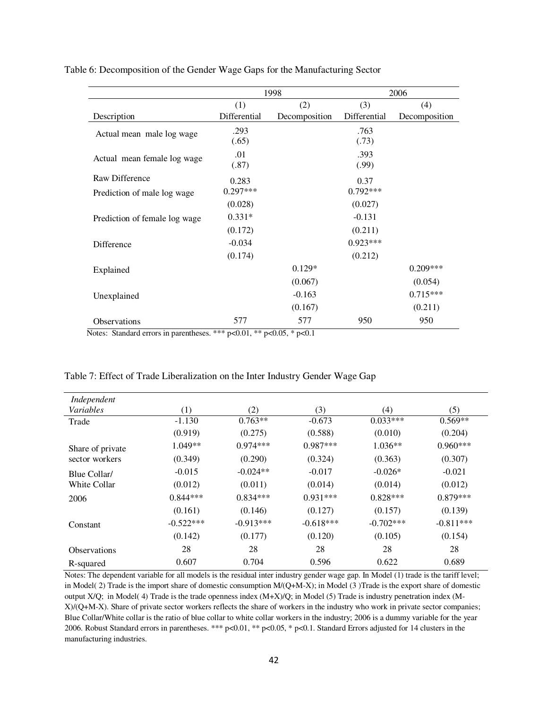|                               |               | 1998          |               | 2006          |
|-------------------------------|---------------|---------------|---------------|---------------|
|                               | (1)           | (2)           | (3)           | (4)           |
| Description                   | Differential  | Decomposition | Differential  | Decomposition |
| Actual mean male log wage     | .293<br>(.65) |               | .763<br>(.73) |               |
| Actual mean female log wage   | .01<br>(.87)  |               | .393<br>(.99) |               |
| Raw Difference                | 0.283         |               | 0.37          |               |
| Prediction of male log wage   | $0.297***$    |               | $0.792***$    |               |
|                               | (0.028)       |               | (0.027)       |               |
| Prediction of female log wage | $0.331*$      |               | $-0.131$      |               |
|                               | (0.172)       |               | (0.211)       |               |
| Difference                    | $-0.034$      |               | $0.923***$    |               |
|                               | (0.174)       |               | (0.212)       |               |
| Explained                     |               | $0.129*$      |               | $0.209***$    |
|                               |               | (0.067)       |               | (0.054)       |
| Unexplained                   |               | $-0.163$      |               | $0.715***$    |
|                               |               | (0.167)       |               | (0.211)       |
| Observations                  | 577           | 577           | 950           | 950           |

Table 6: Decomposition of the Gender Wage Gaps for the Manufacturing Sector

Notes: Standard errors in parentheses. \*\*\* p<0.01, \*\* p<0.05, \* p<0.1

| Independent         |             |             |             |             |             |
|---------------------|-------------|-------------|-------------|-------------|-------------|
| Variables           | (1)         | (2)         | (3)         | (4)         | (5)         |
| Trade               | $-1.130$    | $0.763**$   | $-0.673$    | $0.033***$  | $0.569**$   |
|                     | (0.919)     | (0.275)     | (0.588)     | (0.010)     | (0.204)     |
| Share of private    | $1.049**$   | $0.974***$  | $0.987***$  | $1.036**$   | $0.960***$  |
| sector workers      | (0.349)     | (0.290)     | (0.324)     | (0.363)     | (0.307)     |
| Blue Collar/        | $-0.015$    | $-0.024**$  | $-0.017$    | $-0.026*$   | $-0.021$    |
| White Collar        | (0.012)     | (0.011)     | (0.014)     | (0.014)     | (0.012)     |
| 2006                | $0.844***$  | $0.834***$  | $0.931***$  | $0.828***$  | $0.879***$  |
|                     | (0.161)     | (0.146)     | (0.127)     | (0.157)     | (0.139)     |
| Constant            | $-0.522***$ | $-0.913***$ | $-0.618***$ | $-0.702***$ | $-0.811***$ |
|                     | (0.142)     | (0.177)     | (0.120)     | (0.105)     | (0.154)     |
| <b>Observations</b> | 28          | 28          | 28          | 28          | 28          |
| R-squared           | 0.607       | 0.704       | 0.596       | 0.622       | 0.689       |

Table 7: Effect of Trade Liberalization on the Inter Industry Gender Wage Gap

Notes: The dependent variable for all models is the residual inter industry gender wage gap. In Model (1) trade is the tariff level; in Model( 2) Trade is the import share of domestic consumption M/(Q+M-X); in Model (3 )Trade is the export share of domestic output X/Q; in Model( 4) Trade is the trade openness index (M+X)/Q; in Model (5) Trade is industry penetration index (M-X)/(Q+M-X). Share of private sector workers reflects the share of workers in the industry who work in private sector companies; Blue Collar/White collar is the ratio of blue collar to white collar workers in the industry; 2006 is a dummy variable for the year 2006. Robust Standard errors in parentheses. \*\*\* p<0.01, \*\* p<0.05, \* p<0.1. Standard Errors adjusted for 14 clusters in the manufacturing industries.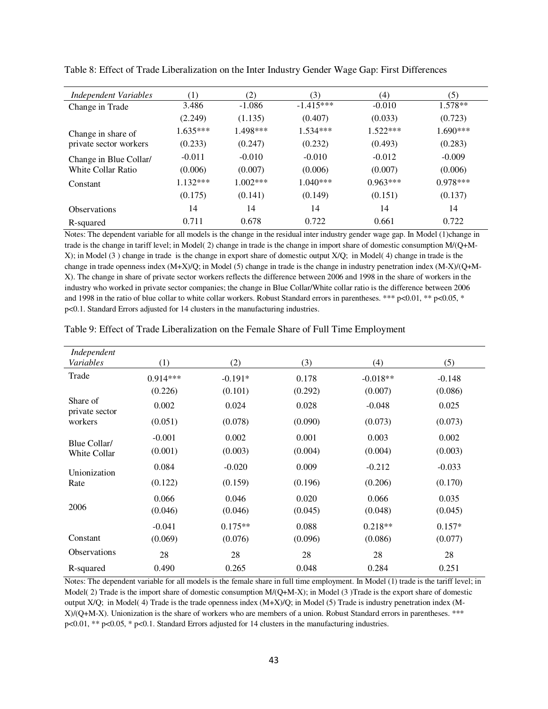| <b>Independent Variables</b> | $\left(1\right)$ | (2)        | (3)         | (4)        | (5)        |
|------------------------------|------------------|------------|-------------|------------|------------|
| Change in Trade              | 3.486            | $-1.086$   | $-1.415***$ | $-0.010$   | $1.578**$  |
|                              | (2.249)          | (1.135)    | (0.407)     | (0.033)    | (0.723)    |
| Change in share of           | $1.635***$       | 1.498***   | $1.534***$  | $1.522***$ | $1.690***$ |
| private sector workers       | (0.233)          | (0.247)    | (0.232)     | (0.493)    | (0.283)    |
| Change in Blue Collar/       | $-0.011$         | $-0.010$   | $-0.010$    | $-0.012$   | $-0.009$   |
| White Collar Ratio           | (0.006)          | (0.007)    | (0.006)     | (0.007)    | (0.006)    |
| Constant                     | $1.132***$       | $1.002***$ | $1.040***$  | $0.963***$ | $0.978***$ |
|                              | (0.175)          | (0.141)    | (0.149)     | (0.151)    | (0.137)    |
| <b>Observations</b>          | 14               | 14         | 14          | 14         | 14         |
| R-squared                    | 0.711            | 0.678      | 0.722       | 0.661      | 0.722      |

Table 8: Effect of Trade Liberalization on the Inter Industry Gender Wage Gap: First Differences

Notes: The dependent variable for all models is the change in the residual inter industry gender wage gap. In Model (1)change in trade is the change in tariff level; in Model( 2) change in trade is the change in import share of domestic consumption M/(Q+M-X); in Model (3 ) change in trade is the change in export share of domestic output X/Q; in Model( 4) change in trade is the change in trade openness index (M+X)/Q; in Model (5) change in trade is the change in industry penetration index (M-X)/(Q+M-X). The change in share of private sector workers reflects the difference between 2006 and 1998 in the share of workers in the industry who worked in private sector companies; the change in Blue Collar/White collar ratio is the difference between 2006 and 1998 in the ratio of blue collar to white collar workers. Robust Standard errors in parentheses. \*\*\* p<0.01, \*\* p<0.05, \* p<0.1. Standard Errors adjusted for 14 clusters in the manufacturing industries.

| Independent                |            |           |         |            |          |
|----------------------------|------------|-----------|---------|------------|----------|
| Variables                  | (1)        | (2)       | (3)     | (4)        | (5)      |
| Trade                      | $0.914***$ | $-0.191*$ | 0.178   | $-0.018**$ | $-0.148$ |
|                            | (0.226)    | (0.101)   | (0.292) | (0.007)    | (0.086)  |
| Share of<br>private sector | 0.002      | 0.024     | 0.028   | $-0.048$   | 0.025    |
| workers                    | (0.051)    | (0.078)   | (0.090) | (0.073)    | (0.073)  |
| Blue Collar/               | $-0.001$   | 0.002     | 0.001   | 0.003      | 0.002    |
| White Collar               | (0.001)    | (0.003)   | (0.004) | (0.004)    | (0.003)  |
| Unionization               | 0.084      | $-0.020$  | 0.009   | $-0.212$   | $-0.033$ |
| Rate                       | (0.122)    | (0.159)   | (0.196) | (0.206)    | (0.170)  |
|                            | 0.066      | 0.046     | 0.020   | 0.066      | 0.035    |
| 2006                       | (0.046)    | (0.046)   | (0.045) | (0.048)    | (0.045)  |
|                            | $-0.041$   | $0.175**$ | 0.088   | $0.218**$  | $0.157*$ |
| Constant                   | (0.069)    | (0.076)   | (0.096) | (0.086)    | (0.077)  |
| <b>Observations</b>        | 28         | 28        | 28      | 28         | 28       |
| R-squared                  | 0.490      | 0.265     | 0.048   | 0.284      | 0.251    |

Table 9: Effect of Trade Liberalization on the Female Share of Full Time Employment

Notes: The dependent variable for all models is the female share in full time employment. In Model (1) trade is the tariff level; in Model( 2) Trade is the import share of domestic consumption M/(Q+M-X); in Model (3 )Trade is the export share of domestic output X/Q; in Model( 4) Trade is the trade openness index (M+X)/Q; in Model (5) Trade is industry penetration index (M-X)/(Q+M-X). Unionization is the share of workers who are members of a union. Robust Standard errors in parentheses. \*\*\* p<0.01, \*\* p<0.05, \* p<0.1. Standard Errors adjusted for 14 clusters in the manufacturing industries.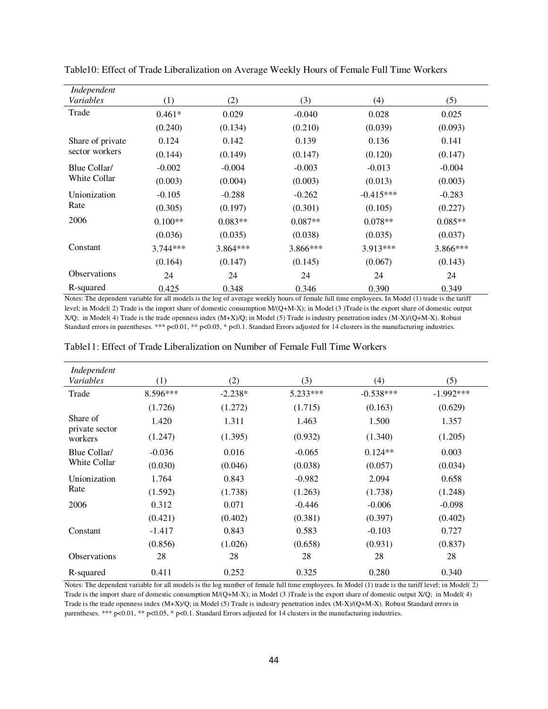| Independent         |            |           |            |             |           |
|---------------------|------------|-----------|------------|-------------|-----------|
| Variables           | (1)        | (2)       | (3)        | (4)         | (5)       |
| Trade               | $0.461*$   | 0.029     | $-0.040$   | 0.028       | 0.025     |
|                     | (0.240)    | (0.134)   | (0.210)    | (0.039)     | (0.093)   |
| Share of private    | 0.124      | 0.142     | 0.139      | 0.136       | 0.141     |
| sector workers      | (0.144)    | (0.149)   | (0.147)    | (0.120)     | (0.147)   |
| Blue Collar/        | $-0.002$   | $-0.004$  | $-0.003$   | $-0.013$    | $-0.004$  |
| <b>White Collar</b> | (0.003)    | (0.004)   | (0.003)    | (0.013)     | (0.003)   |
| Unionization        | $-0.105$   | $-0.288$  | $-0.262$   | $-0.415***$ | $-0.283$  |
| Rate                | (0.305)    | (0.197)   | (0.301)    | (0.105)     | (0.227)   |
| 2006                | $0.100**$  | $0.083**$ | $0.087**$  | $0.078**$   | $0.085**$ |
|                     | (0.036)    | (0.035)   | (0.038)    | (0.035)     | (0.037)   |
| Constant            | $3.744***$ | 3.864***  | $3.866***$ | 3.913***    | 3.866***  |
|                     | (0.164)    | (0.147)   | (0.145)    | (0.067)     | (0.143)   |
| <b>Observations</b> | 24         | 24        | 24         | 24          | 24        |
| R-squared           | 0.425      | 0.348     | 0.346      | 0.390       | 0.349     |

Table10: Effect of Trade Liberalization on Average Weekly Hours of Female Full Time Workers

Notes: The dependent variable for all models is the log of average weekly hours of female full time employees. In Model (1) trade is the tariff level; in Model( 2) Trade is the import share of domestic consumption M/(Q+M-X); in Model (3 )Trade is the export share of domestic output X/Q; in Model( 4) Trade is the trade openness index (M+X)/Q; in Model (5) Trade is industry penetration index (M-X)/(Q+M-X). Robust Standard errors in parentheses. \*\*\* p<0.01, \*\* p<0.05, \* p<0.1. Standard Errors adjusted for 14 clusters in the manufacturing industries.

| Independent<br>Variables   | $\left(1\right)$ | (2)       | (3)      | (4)         | (5)         |
|----------------------------|------------------|-----------|----------|-------------|-------------|
|                            |                  |           |          |             |             |
| Trade                      | 8.596***         | $-2.238*$ | 5.233*** | $-0.538***$ | $-1.992***$ |
|                            | (1.726)          | (1.272)   | (1.715)  | (0.163)     | (0.629)     |
| Share of<br>private sector | 1.420            | 1.311     | 1.463    | 1.500       | 1.357       |
| workers                    | (1.247)          | (1.395)   | (0.932)  | (1.340)     | (1.205)     |
| Blue Collar/               | $-0.036$         | 0.016     | $-0.065$ | $0.124**$   | 0.003       |
| White Collar               | (0.030)          | (0.046)   | (0.038)  | (0.057)     | (0.034)     |
| Unionization               | 1.764            | 0.843     | $-0.982$ | 2.094       | 0.658       |
| Rate                       | (1.592)          | (1.738)   | (1.263)  | (1.738)     | (1.248)     |
| 2006                       | 0.312            | 0.071     | $-0.446$ | $-0.006$    | $-0.098$    |
|                            | (0.421)          | (0.402)   | (0.381)  | (0.397)     | (0.402)     |
| Constant                   | $-1.417$         | 0.843     | 0.583    | $-0.103$    | 0.727       |
|                            | (0.856)          | (1.026)   | (0.658)  | (0.931)     | (0.837)     |
| <b>Observations</b>        | 28               | 28        | 28       | 28          | 28          |
| R-squared                  | 0.411            | 0.252     | 0.325    | 0.280       | 0.340       |

Table11: Effect of Trade Liberalization on Number of Female Full Time Workers

Notes: The dependent variable for all models is the log number of female full time employees. In Model (1) trade is the tariff level; in Model( 2) Trade is the import share of domestic consumption M/(Q+M-X); in Model (3 )Trade is the export share of domestic output X/Q; in Model( 4) Trade is the trade openness index (M+X)/Q; in Model (5) Trade is industry penetration index (M-X)/(Q+M-X). Robust Standard errors in parentheses. \*\*\* p<0.01, \*\* p<0.05, \* p<0.1. Standard Errors adjusted for 14 clusters in the manufacturing industries.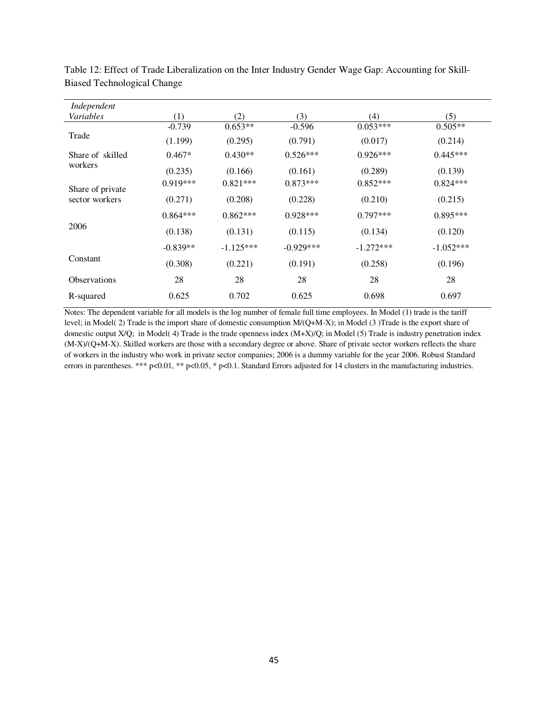| Independent         |            |             |             |             |             |
|---------------------|------------|-------------|-------------|-------------|-------------|
| Variables           | (1)        | (2)         | (3)         | (4)         | (5)         |
|                     | $-0.739$   | $0.653**$   | $-0.596$    | $0.053***$  | $0.505**$   |
| Trade               | (1.199)    | (0.295)     | (0.791)     | (0.017)     | (0.214)     |
| Share of skilled    | $0.467*$   | $0.430**$   | $0.526***$  | $0.926***$  | $0.445***$  |
| workers             | (0.235)    | (0.166)     | (0.161)     | (0.289)     | (0.139)     |
| Share of private    | $0.919***$ | $0.821***$  | $0.873***$  | $0.852***$  | $0.824***$  |
| sector workers      | (0.271)    | (0.208)     | (0.228)     | (0.210)     | (0.215)     |
|                     | $0.864***$ | $0.862***$  | $0.928***$  | $0.797***$  | $0.895***$  |
| 2006                | (0.138)    | (0.131)     | (0.115)     | (0.134)     | (0.120)     |
|                     | $-0.839**$ | $-1.125***$ | $-0.929***$ | $-1.272***$ | $-1.052***$ |
| Constant            | (0.308)    | (0.221)     | (0.191)     | (0.258)     | (0.196)     |
| <b>Observations</b> | 28         | 28          | 28          | 28          | 28          |
| R-squared           | 0.625      | 0.702       | 0.625       | 0.698       | 0.697       |

Table 12: Effect of Trade Liberalization on the Inter Industry Gender Wage Gap: Accounting for Skill-Biased Technological Change

Notes: The dependent variable for all models is the log number of female full time employees. In Model (1) trade is the tariff level; in Model( 2) Trade is the import share of domestic consumption M/(Q+M-X); in Model (3 )Trade is the export share of domestic output X/Q; in Model( 4) Trade is the trade openness index (M+X)/Q; in Model (5) Trade is industry penetration index (M-X)/(Q+M-X). Skilled workers are those with a secondary degree or above. Share of private sector workers reflects the share of workers in the industry who work in private sector companies; 2006 is a dummy variable for the year 2006. Robust Standard errors in parentheses. \*\*\* p<0.01, \*\* p<0.05, \* p<0.1. Standard Errors adjusted for 14 clusters in the manufacturing industries.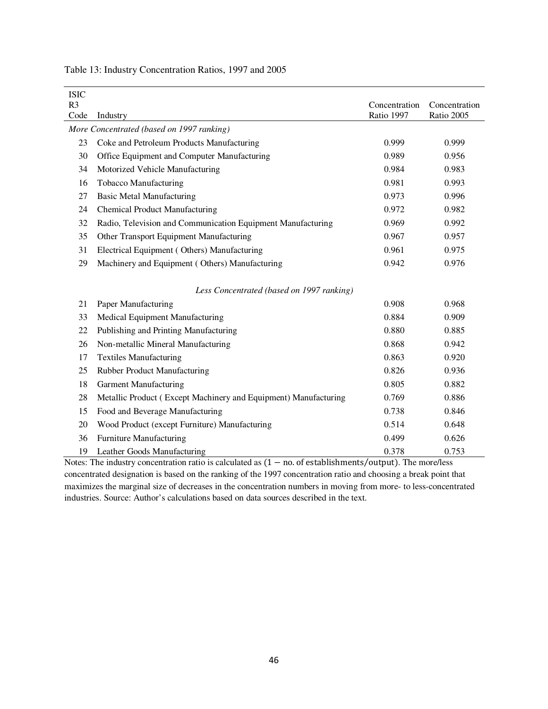| <b>ISIC</b>    |                                                                 |               |               |  |  |  |  |
|----------------|-----------------------------------------------------------------|---------------|---------------|--|--|--|--|
| R <sub>3</sub> |                                                                 | Concentration | Concentration |  |  |  |  |
| Code           | Industry                                                        | Ratio 1997    | Ratio 2005    |  |  |  |  |
|                | More Concentrated (based on 1997 ranking)                       |               |               |  |  |  |  |
| 23             | Coke and Petroleum Products Manufacturing                       | 0.999         | 0.999         |  |  |  |  |
| 30             | Office Equipment and Computer Manufacturing                     | 0.989         | 0.956         |  |  |  |  |
| 34             | Motorized Vehicle Manufacturing                                 | 0.984         | 0.983         |  |  |  |  |
| 16             | Tobacco Manufacturing                                           | 0.981         | 0.993         |  |  |  |  |
| 27             | <b>Basic Metal Manufacturing</b>                                | 0.973         | 0.996         |  |  |  |  |
| 24             | <b>Chemical Product Manufacturing</b>                           | 0.972         | 0.982         |  |  |  |  |
| 32             | Radio, Television and Communication Equipment Manufacturing     | 0.969         | 0.992         |  |  |  |  |
| 35             | Other Transport Equipment Manufacturing                         | 0.967         | 0.957         |  |  |  |  |
| 31             | Electrical Equipment (Others) Manufacturing                     | 0.961         | 0.975         |  |  |  |  |
| 29             | Machinery and Equipment (Others) Manufacturing                  | 0.942         | 0.976         |  |  |  |  |
|                |                                                                 |               |               |  |  |  |  |
|                | Less Concentrated (based on 1997 ranking)                       |               |               |  |  |  |  |
| 21             | Paper Manufacturing                                             | 0.908         | 0.968         |  |  |  |  |
| 33             | Medical Equipment Manufacturing                                 | 0.884         | 0.909         |  |  |  |  |
| 22             | Publishing and Printing Manufacturing                           | 0.880         | 0.885         |  |  |  |  |
| 26             | Non-metallic Mineral Manufacturing                              | 0.868         | 0.942         |  |  |  |  |
| 17             | <b>Textiles Manufacturing</b>                                   | 0.863         | 0.920         |  |  |  |  |
| 25             | Rubber Product Manufacturing                                    | 0.826         | 0.936         |  |  |  |  |
| 18             | <b>Garment Manufacturing</b>                                    | 0.805         | 0.882         |  |  |  |  |
| 28             | Metallic Product (Except Machinery and Equipment) Manufacturing | 0.769         | 0.886         |  |  |  |  |
| 15             | Food and Beverage Manufacturing                                 | 0.738         | 0.846         |  |  |  |  |
| 20             | Wood Product (except Furniture) Manufacturing                   | 0.514         | 0.648         |  |  |  |  |
| 36             | <b>Furniture Manufacturing</b>                                  | 0.499         | 0.626         |  |  |  |  |
| 19             | Leather Goods Manufacturing                                     | 0.378         | 0.753         |  |  |  |  |

Table 13: Industry Concentration Ratios, 1997 and 2005

Notes: The industry concentration ratio is calculated as  $(1 - no$  of establishments/output). The more/less concentrated designation is based on the ranking of the 1997 concentration ratio and choosing a break point that maximizes the marginal size of decreases in the concentration numbers in moving from more- to less-concentrated industries. Source: Author's calculations based on data sources described in the text.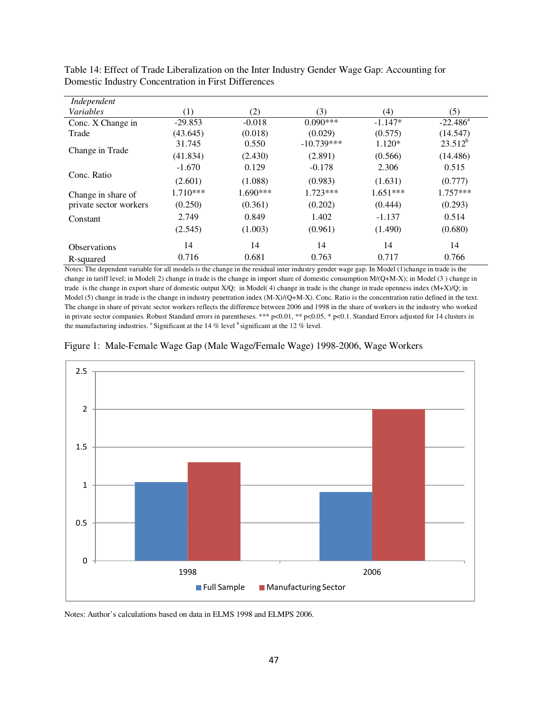| Independent            |                  |          |              |            |             |
|------------------------|------------------|----------|--------------|------------|-------------|
| Variables              | $\left(1\right)$ | (2)      | (3)          | (4)        | (5)         |
| Conc. X Change in      | $-29.853$        | $-0.018$ | $0.090***$   | $-1.147*$  | $-22.486^a$ |
| Trade                  | (43.645)         | (0.018)  | (0.029)      | (0.575)    | (14.547)    |
|                        | 31.745           | 0.550    | $-10.739***$ | $1.120*$   | $23.512^b$  |
| Change in Trade        | (41.834)         | (2.430)  | (2.891)      | (0.566)    | (14.486)    |
|                        | $-1.670$         | 0.129    | $-0.178$     | 2.306      | 0.515       |
| Conc. Ratio            | (2.601)          | (1.088)  | (0.983)      | (1.631)    | (0.777)     |
| Change in share of     | $1.710***$       | 1.690*** | $1.723***$   | $1.651***$ | $1.757***$  |
| private sector workers | (0.250)          | (0.361)  | (0.202)      | (0.444)    | (0.293)     |
| Constant               | 2.749            | 0.849    | 1.402        | $-1.137$   | 0.514       |
|                        | (2.545)          | (1.003)  | (0.961)      | (1.490)    | (0.680)     |
| <b>Observations</b>    | 14               | 14       | 14           | 14         | 14          |
| R-squared              | 0.716            | 0.681    | 0.763        | 0.717      | 0.766       |

Table 14: Effect of Trade Liberalization on the Inter Industry Gender Wage Gap: Accounting for Domestic Industry Concentration in First Differences

Notes: The dependent variable for all models is the change in the residual inter industry gender wage gap. In Model (1)change in trade is the change in tariff level; in Model( 2) change in trade is the change in import share of domestic consumption M/(Q+M-X); in Model (3 ) change in trade is the change in export share of domestic output X/Q; in Model( 4) change in trade is the change in trade openness index (M+X)/Q; in Model (5) change in trade is the change in industry penetration index  $(M-X)/(Q+M-X)$ . Conc. Ratio is the concentration ratio defined in the text. The change in share of private sector workers reflects the difference between 2006 and 1998 in the share of workers in the industry who worked in private sector companies. Robust Standard errors in parentheses. \*\*\* p<0.01, \*\* p<0.05, \* p<0.1. Standard Errors adjusted for 14 clusters in the manufacturing industries.  $^{\circ}$  Significant at the 14 % level  $^{\circ}$  significant at the 12 % level.





Notes: Author's calculations based on data in ELMS 1998 and ELMPS 2006.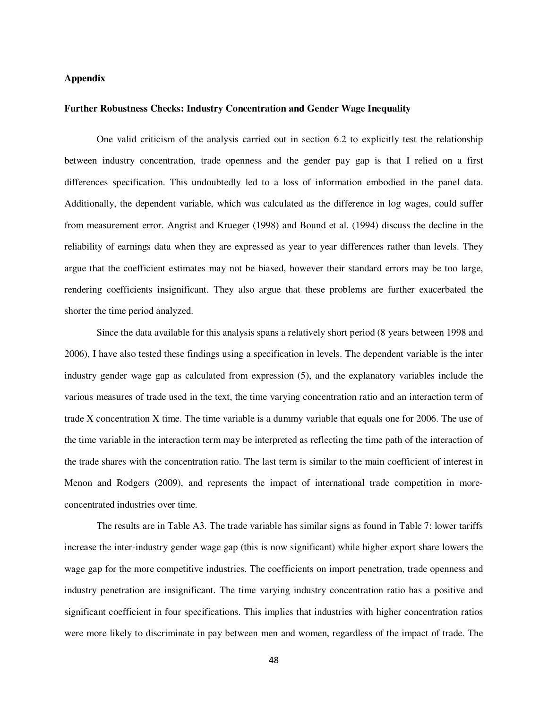# **Appendix**

## **Further Robustness Checks: Industry Concentration and Gender Wage Inequality**

One valid criticism of the analysis carried out in section 6.2 to explicitly test the relationship between industry concentration, trade openness and the gender pay gap is that I relied on a first differences specification. This undoubtedly led to a loss of information embodied in the panel data. Additionally, the dependent variable, which was calculated as the difference in log wages, could suffer from measurement error. Angrist and Krueger (1998) and Bound et al. (1994) discuss the decline in the reliability of earnings data when they are expressed as year to year differences rather than levels. They argue that the coefficient estimates may not be biased, however their standard errors may be too large, rendering coefficients insignificant. They also argue that these problems are further exacerbated the shorter the time period analyzed.

Since the data available for this analysis spans a relatively short period (8 years between 1998 and 2006), I have also tested these findings using a specification in levels. The dependent variable is the inter industry gender wage gap as calculated from expression (5), and the explanatory variables include the various measures of trade used in the text, the time varying concentration ratio and an interaction term of trade X concentration X time. The time variable is a dummy variable that equals one for 2006. The use of the time variable in the interaction term may be interpreted as reflecting the time path of the interaction of the trade shares with the concentration ratio. The last term is similar to the main coefficient of interest in Menon and Rodgers (2009), and represents the impact of international trade competition in moreconcentrated industries over time.

The results are in Table A3. The trade variable has similar signs as found in Table 7: lower tariffs increase the inter-industry gender wage gap (this is now significant) while higher export share lowers the wage gap for the more competitive industries. The coefficients on import penetration, trade openness and industry penetration are insignificant. The time varying industry concentration ratio has a positive and significant coefficient in four specifications. This implies that industries with higher concentration ratios were more likely to discriminate in pay between men and women, regardless of the impact of trade. The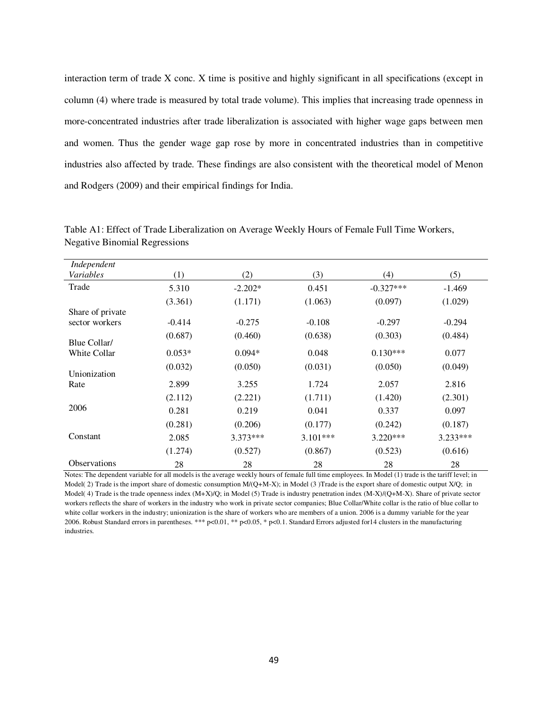interaction term of trade X conc. X time is positive and highly significant in all specifications (except in column (4) where trade is measured by total trade volume). This implies that increasing trade openness in more-concentrated industries after trade liberalization is associated with higher wage gaps between men and women. Thus the gender wage gap rose by more in concentrated industries than in competitive industries also affected by trade. These findings are also consistent with the theoretical model of Menon and Rodgers (2009) and their empirical findings for India.

| Independent         |          |            |            |             |            |
|---------------------|----------|------------|------------|-------------|------------|
| Variables           | (1)      | (2)        | (3)        | (4)         | (5)        |
| Trade               | 5.310    | $-2.202*$  | 0.451      | $-0.327***$ | $-1.469$   |
|                     | (3.361)  | (1.171)    | (1.063)    | (0.097)     | (1.029)    |
| Share of private    |          |            |            |             |            |
| sector workers      | $-0.414$ | $-0.275$   | $-0.108$   | $-0.297$    | $-0.294$   |
| Blue Collar/        | (0.687)  | (0.460)    | (0.638)    | (0.303)     | (0.484)    |
| <b>White Collar</b> | $0.053*$ | $0.094*$   | 0.048      | $0.130***$  | 0.077      |
| Unionization        | (0.032)  | (0.050)    | (0.031)    | (0.050)     | (0.049)    |
| Rate                | 2.899    | 3.255      | 1.724      | 2.057       | 2.816      |
|                     | (2.112)  | (2.221)    | (1.711)    | (1.420)     | (2.301)    |
| 2006                | 0.281    | 0.219      | 0.041      | 0.337       | 0.097      |
|                     | (0.281)  | (0.206)    | (0.177)    | (0.242)     | (0.187)    |
| Constant            | 2.085    | $3.373***$ | $3.101***$ | $3.220***$  | $3.233***$ |
|                     | (1.274)  | (0.527)    | (0.867)    | (0.523)     | (0.616)    |
| <b>Observations</b> | 28       | 28         | 28         | 28          | 28         |

Table A1: Effect of Trade Liberalization on Average Weekly Hours of Female Full Time Workers, Negative Binomial Regressions

Notes: The dependent variable for all models is the average weekly hours of female full time employees. In Model (1) trade is the tariff level; in Model( 2) Trade is the import share of domestic consumption M/(Q+M-X); in Model (3) Trade is the export share of domestic output X/Q; in Model( 4) Trade is the trade openness index (M+X)/Q; in Model (5) Trade is industry penetration index (M-X)/(Q+M-X). Share of private sector workers reflects the share of workers in the industry who work in private sector companies; Blue Collar/White collar is the ratio of blue collar to white collar workers in the industry; unionization is the share of workers who are members of a union. 2006 is a dummy variable for the year 2006. Robust Standard errors in parentheses. \*\*\* p<0.01, \*\* p<0.05, \* p<0.1. Standard Errors adjusted for14 clusters in the manufacturing industries.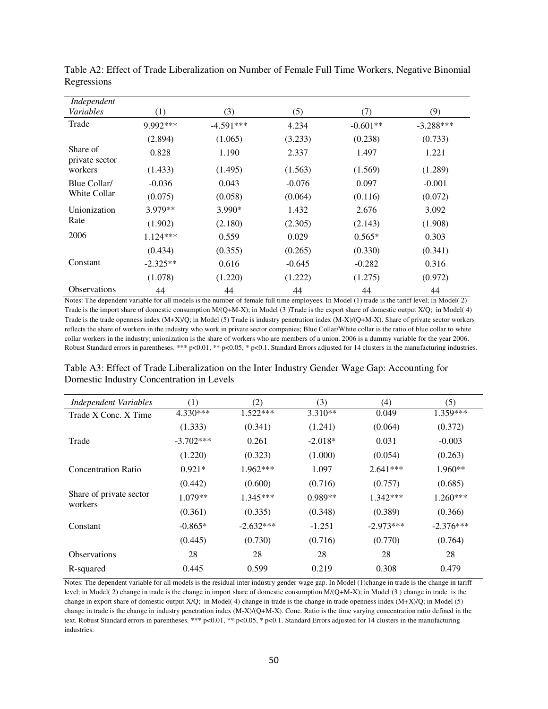| Independent                |            |             |          |            |             |
|----------------------------|------------|-------------|----------|------------|-------------|
| Variables                  | (1)        | (3)         | (5)      | (7)        | (9)         |
| Trade                      | 9.992***   | $-4.591***$ | 4.234    | $-0.601**$ | $-3.288***$ |
|                            | (2.894)    | (1.065)     | (3.233)  | (0.238)    | (0.733)     |
| Share of<br>private sector | 0.828      | 1.190       | 2.337    | 1.497      | 1.221       |
| workers                    | (1.433)    | (1.495)     | (1.563)  | (1.569)    | (1.289)     |
| Blue Collar/               | $-0.036$   | 0.043       | $-0.076$ | 0.097      | $-0.001$    |
| White Collar               | (0.075)    | (0.058)     | (0.064)  | (0.116)    | (0.072)     |
| Unionization               | 3.979**    | $3.990*$    | 1.432    | 2.676      | 3.092       |
| Rate                       | (1.902)    | (2.180)     | (2.305)  | (2.143)    | (1.908)     |
| 2006                       | $1.124***$ | 0.559       | 0.029    | $0.565*$   | 0.303       |
|                            | (0.434)    | (0.355)     | (0.265)  | (0.330)    | (0.341)     |
| Constant                   | $-2.325**$ | 0.616       | $-0.645$ | $-0.282$   | 0.316       |
|                            | (1.078)    | (1.220)     | (1.222)  | (1.275)    | (0.972)     |
| <b>Observations</b>        | 44         | 44          | 44       | 44         | 44          |

Table A2: Effect of Trade Liberalization on Number of Female Full Time Workers, Negative Binomial Regressions

Notes: The dependent variable for all models is the number of female full time employees. In Model (1) trade is the tariff level; in Model( 2) Trade is the import share of domestic consumption M/(Q+M-X); in Model (3 )Trade is the export share of domestic output X/Q; in Model( 4) Trade is the trade openness index (M+X)/Q; in Model (5) Trade is industry penetration index (M-X)/(Q+M-X). Share of private sector workers reflects the share of workers in the industry who work in private sector companies; Blue Collar/White collar is the ratio of blue collar to white collar workers in the industry; unionization is the share of workers who are members of a union. 2006 is a dummy variable for the year 2006. Robust Standard errors in parentheses. \*\*\* p<0.01, \*\* p<0.05, \* p<0.1. Standard Errors adjusted for 14 clusters in the manufacturing industries.

| Table A3: Effect of Trade Liberalization on the Inter Industry Gender Wage Gap: Accounting for |  |  |
|------------------------------------------------------------------------------------------------|--|--|
| Domestic Industry Concentration in Levels                                                      |  |  |

| Independent Variables              | (1)         | (2)         | (3)       | (4)         | (5)         |
|------------------------------------|-------------|-------------|-----------|-------------|-------------|
| Trade X Conc. X Time               | $4.330***$  | $1.522***$  | $3.310**$ | 0.049       | $1.359***$  |
|                                    | (1.333)     | (0.341)     | (1.241)   | (0.064)     | (0.372)     |
| Trade                              | $-3.702***$ | 0.261       | $-2.018*$ | 0.031       | $-0.003$    |
|                                    | (1.220)     | (0.323)     | (1.000)   | (0.054)     | (0.263)     |
| Concentration Ratio                | $0.921*$    | $1.962***$  | 1.097     | $2.641***$  | $1.960**$   |
|                                    | (0.442)     | (0.600)     | (0.716)   | (0.757)     | (0.685)     |
| Share of private sector<br>workers | $1.079**$   | $1.345***$  | $0.989**$ | $1.342***$  | $1.260***$  |
|                                    | (0.361)     | (0.335)     | (0.348)   | (0.389)     | (0.366)     |
| Constant                           | $-0.865*$   | $-2.632***$ | $-1.251$  | $-2.973***$ | $-2.376***$ |
|                                    | (0.445)     | (0.730)     | (0.716)   | (0.770)     | (0.764)     |
| <b>Observations</b>                | 28          | 28          | 28        | 28          | 28          |
| R-squared                          | 0.445       | 0.599       | 0.219     | 0.308       | 0.479       |

Notes: The dependent variable for all models is the residual inter industry gender wage gap. In Model (1)change in trade is the change in tariff level; in Model( 2) change in trade is the change in import share of domestic consumption M/(Q+M-X); in Model (3 ) change in trade is the change in export share of domestic output X/Q; in Model( 4) change in trade is the change in trade openness index (M+X)/Q; in Model (5) change in trade is the change in industry penetration index (M-X)/(Q+M-X). Conc. Ratio is the time varying concentration ratio defined in the text. Robust Standard errors in parentheses. \*\*\* p<0.01, \*\* p<0.05, \* p<0.1. Standard Errors adjusted for 14 clusters in the manufacturing industries.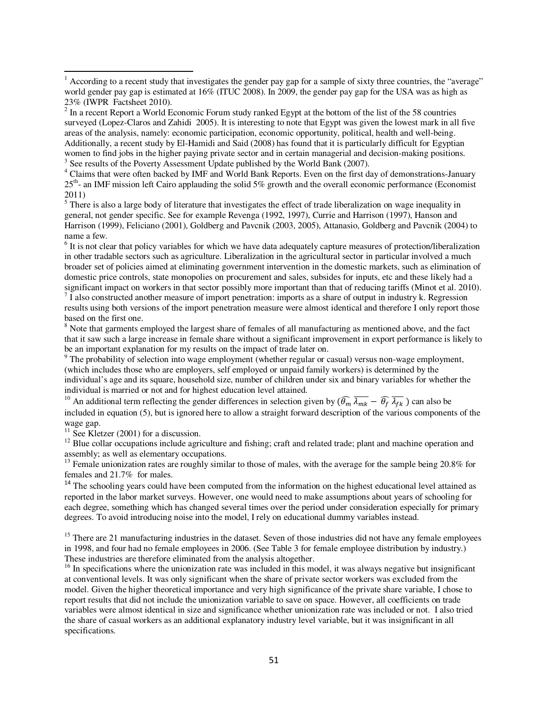<sup>4</sup> Claims that were often backed by IMF and World Bank Reports. Even on the first day of demonstrations-January 25th- an IMF mission left Cairo applauding the solid 5% growth and the overall economic performance (Economist 2011)

 $<sup>5</sup>$  There is also a large body of literature that investigates the effect of trade liberalization on wage inequality in</sup> general, not gender specific. See for example Revenga (1992, 1997), Currie and Harrison (1997), Hanson and Harrison (1999), Feliciano (2001), Goldberg and Pavcnik (2003, 2005), Attanasio, Goldberg and Pavcnik (2004) to name a few.

<sup>6</sup> It is not clear that policy variables for which we have data adequately capture measures of protection/liberalization in other tradable sectors such as agriculture. Liberalization in the agricultural sector in particular involved a much broader set of policies aimed at eliminating government intervention in the domestic markets, such as elimination of domestic price controls, state monopolies on procurement and sales, subsides for inputs, etc and these likely had a significant impact on workers in that sector possibly more important than that of reducing tariffs (Minot et al. 2010).

 $<sup>7</sup>$  I also constructed another measure of import penetration: imports as a share of output in industry k. Regression</sup> results using both versions of the import penetration measure were almost identical and therefore I only report those based on the first one.

<sup>8</sup> Note that garments employed the largest share of females of all manufacturing as mentioned above, and the fact that it saw such a large increase in female share without a significant improvement in export performance is likely to be an important explanation for my results on the impact of trade later on.

<sup>9</sup> The probability of selection into wage employment (whether regular or casual) versus non-wage employment, (which includes those who are employers, self employed or unpaid family workers) is determined by the individual's age and its square, household size, number of children under six and binary variables for whether the individual is married or not and for highest education level attained.

<sup>10</sup> An additional term reflecting the gender differences in selection given by  $(\widehat{\theta_m} \overline{\lambda_{mk}} - \widehat{\theta_f} \overline{\lambda_{fk}})$  can also be included in equation (5), but is ignored here to allow a straight forward description of the various components of the wage gap.

 $11$  See Kletzer (2001) for a discussion.

 $12$  Blue collar occupations include agriculture and fishing; craft and related trade; plant and machine operation and assembly; as well as elementary occupations.

<sup>13</sup> Female unionization rates are roughly similar to those of males, with the average for the sample being  $20.8\%$  for females and 21.7% for males.

<sup>14</sup> The schooling years could have been computed from the information on the highest educational level attained as reported in the labor market surveys. However, one would need to make assumptions about years of schooling for each degree, something which has changed several times over the period under consideration especially for primary degrees. To avoid introducing noise into the model, I rely on educational dummy variables instead.

<sup>15</sup> There are 21 manufacturing industries in the dataset. Seven of those industries did not have any female employees in 1998, and four had no female employees in 2006. (See Table 3 for female employee distribution by industry.) These industries are therefore eliminated from the analysis altogether.

 $16$  In specifications where the unionization rate was included in this model, it was always negative but insignificant at conventional levels. It was only significant when the share of private sector workers was excluded from the model. Given the higher theoretical importance and very high significance of the private share variable, I chose to report results that did not include the unionization variable to save on space. However, all coefficients on trade variables were almost identical in size and significance whether unionization rate was included or not. I also tried the share of casual workers as an additional explanatory industry level variable, but it was insignificant in all specifications.

<sup>&</sup>lt;sup>1</sup> According to a recent study that investigates the gender pay gap for a sample of sixty three countries, the "average" world gender pay gap is estimated at 16% (ITUC 2008). In 2009, the gender pay gap for the USA was as high as 23% (IWPR Factsheet 2010).

 $2^{2}$  In a recent Report a World Economic Forum study ranked Egypt at the bottom of the list of the 58 countries surveyed (Lopez-Claros and Zahidi 2005). It is interesting to note that Egypt was given the lowest mark in all five areas of the analysis, namely: economic participation, economic opportunity, political, health and well-being. Additionally, a recent study by El-Hamidi and Said (2008) has found that it is particularly difficult for Egyptian women to find jobs in the higher paying private sector and in certain managerial and decision-making positions. <sup>3</sup> See results of the Poverty Assessment Update published by the World Bank (2007).